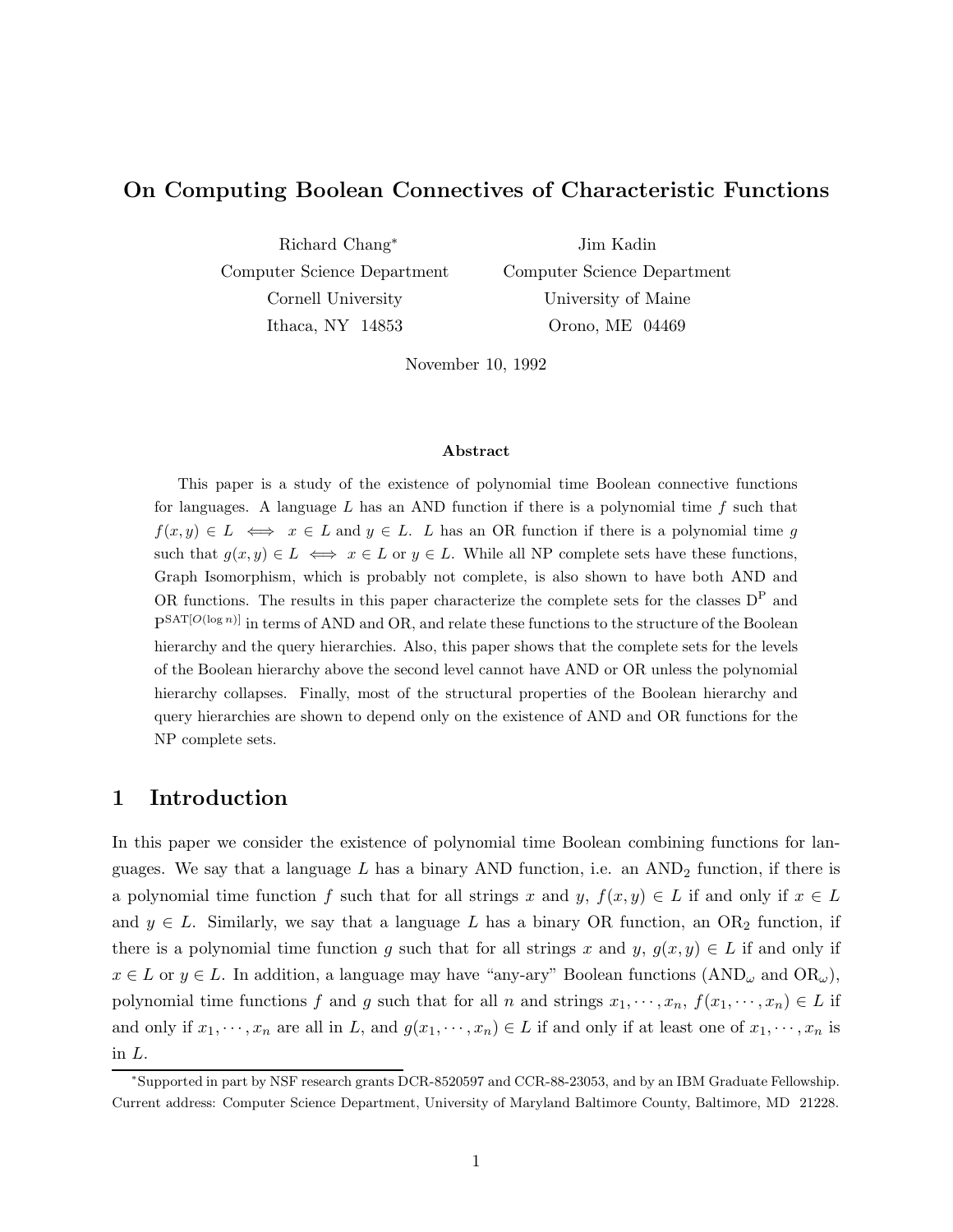# On Computing Boolean Connectives of Characteristic Functions

Richard Chang<sup>∗</sup> Computer Science Department Cornell University Ithaca, NY 14853

Jim Kadin Computer Science Department University of Maine Orono, ME 04469

November 10, 1992

#### Abstract

This paper is a study of the existence of polynomial time Boolean connective functions for languages. A language L has an AND function if there is a polynomial time  $f$  such that  $f(x, y) \in L \iff x \in L$  and  $y \in L$ . L has an OR function if there is a polynomial time g such that  $g(x, y) \in L \iff x \in L$  or  $y \in L$ . While all NP complete sets have these functions, Graph Isomorphism, which is probably not complete, is also shown to have both AND and OR functions. The results in this paper characterize the complete sets for the classes D<sup>P</sup> and  $P^{SAT[O(\log n)]}$  in terms of AND and OR, and relate these functions to the structure of the Boolean hierarchy and the query hierarchies. Also, this paper shows that the complete sets for the levels of the Boolean hierarchy above the second level cannot have AND or OR unless the polynomial hierarchy collapses. Finally, most of the structural properties of the Boolean hierarchy and query hierarchies are shown to depend only on the existence of AND and OR functions for the NP complete sets.

# 1 Introduction

In this paper we consider the existence of polynomial time Boolean combining functions for languages. We say that a language L has a binary AND function, i.e. an  $AND_2$  function, if there is a polynomial time function f such that for all strings x and y,  $f(x, y) \in L$  if and only if  $x \in L$ and  $y \in L$ . Similarly, we say that a language L has a binary OR function, an OR<sub>2</sub> function, if there is a polynomial time function g such that for all strings x and y,  $g(x, y) \in L$  if and only if  $x \in L$  or  $y \in L$ . In addition, a language may have "any-ary" Boolean functions  $(AND_{\omega} \text{ and } OR_{\omega}),$ polynomial time functions f and g such that for all n and strings  $x_1, \dots, x_n$ ,  $f(x_1, \dots, x_n) \in L$  if and only if  $x_1, \dots, x_n$  are all in L, and  $g(x_1, \dots, x_n) \in L$  if and only if at least one of  $x_1, \dots, x_n$  is in L.

<sup>∗</sup>Supported in part by NSF research grants DCR-8520597 and CCR-88-23053, and by an IBM Graduate Fellowship. Current address: Computer Science Department, University of Maryland Baltimore County, Baltimore, MD 21228.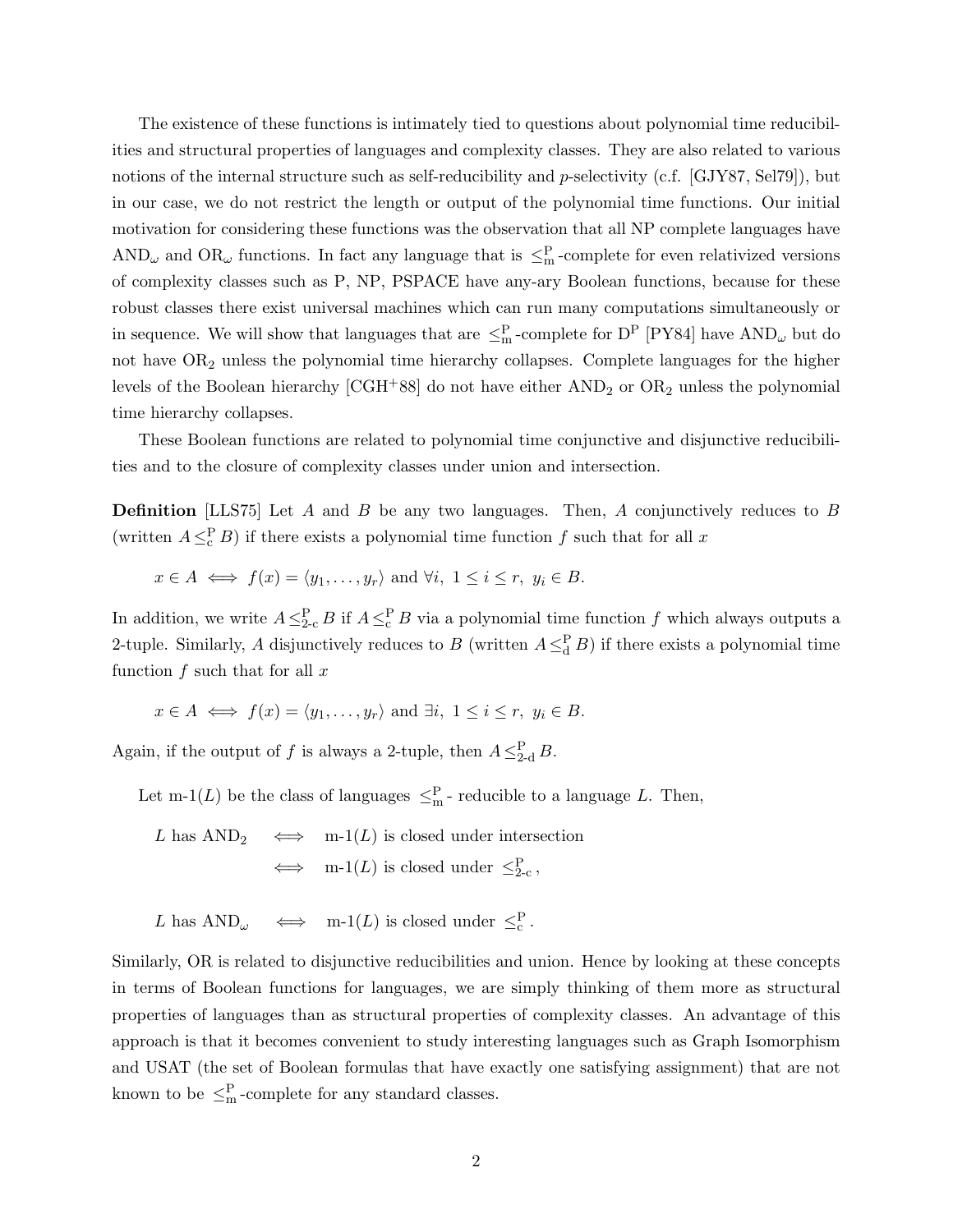The existence of these functions is intimately tied to questions about polynomial time reducibilities and structural properties of languages and complexity classes. They are also related to various notions of the internal structure such as self-reducibility and p-selectivity (c.f. [GJY87, Sel79]), but in our case, we do not restrict the length or output of the polynomial time functions. Our initial motivation for considering these functions was the observation that all NP complete languages have AND<sub> $\omega$ </sub> and OR<sub> $\omega$ </sub> functions. In fact any language that is  $\leq^P_m$ -complete for even relativized versions of complexity classes such as P, NP, PSPACE have any-ary Boolean functions, because for these robust classes there exist universal machines which can run many computations simultaneously or in sequence. We will show that languages that are  $\leq^P_m$ -complete for D<sup>P</sup> [PY84] have AND<sub>ω</sub> but do not have OR<sup>2</sup> unless the polynomial time hierarchy collapses. Complete languages for the higher levels of the Boolean hierarchy  $[{\rm CGH^+88}]$  do not have either  ${\rm AND_2}$  or  ${\rm OR_2}$  unless the polynomial time hierarchy collapses.

These Boolean functions are related to polynomial time conjunctive and disjunctive reducibilities and to the closure of complexity classes under union and intersection.

**Definition** [LLS75] Let A and B be any two languages. Then, A conjunctively reduces to B (written  $A \leq_c^P B$ ) if there exists a polynomial time function f such that for all x

$$
x \in A \iff f(x) = \langle y_1, \dots, y_r \rangle \text{ and } \forall i, 1 \le i \le r, y_i \in B.
$$

In addition, we write  $A \leq_{2\text{-}c}^P B$  if  $A \leq_{\text{c}}^P B$  via a polynomial time function f which always outputs a 2-tuple. Similarly, A disjunctively reduces to B (written  $A \leq_d^P B$ ) if there exists a polynomial time function  $f$  such that for all  $x$ 

$$
x \in A \iff f(x) = \langle y_1, \dots, y_r \rangle \text{ and } \exists i, 1 \le i \le r, y_i \in B.
$$

Again, if the output of f is always a 2-tuple, then  $A \leq_{2-d}^P B$ .

Let m-1(L) be the class of languages  $\leq^P_m$ -reducible to a language L. Then,

L has AND<sub>2</sub> 
$$
\iff
$$
 m-1(*L*) is closed under intersection  
 $\iff$  m-1(*L*) is closed under  $\leq_{2-c}^P$ ,

L has AND<sub>$$
\omega
$$</sub>  $\iff$  m-1(*L*) is closed under  $\leq_c^P$ .

Similarly, OR is related to disjunctive reducibilities and union. Hence by looking at these concepts in terms of Boolean functions for languages, we are simply thinking of them more as structural properties of languages than as structural properties of complexity classes. An advantage of this approach is that it becomes convenient to study interesting languages such as Graph Isomorphism and USAT (the set of Boolean formulas that have exactly one satisfying assignment) that are not known to be  $\leq^P_m$ -complete for any standard classes.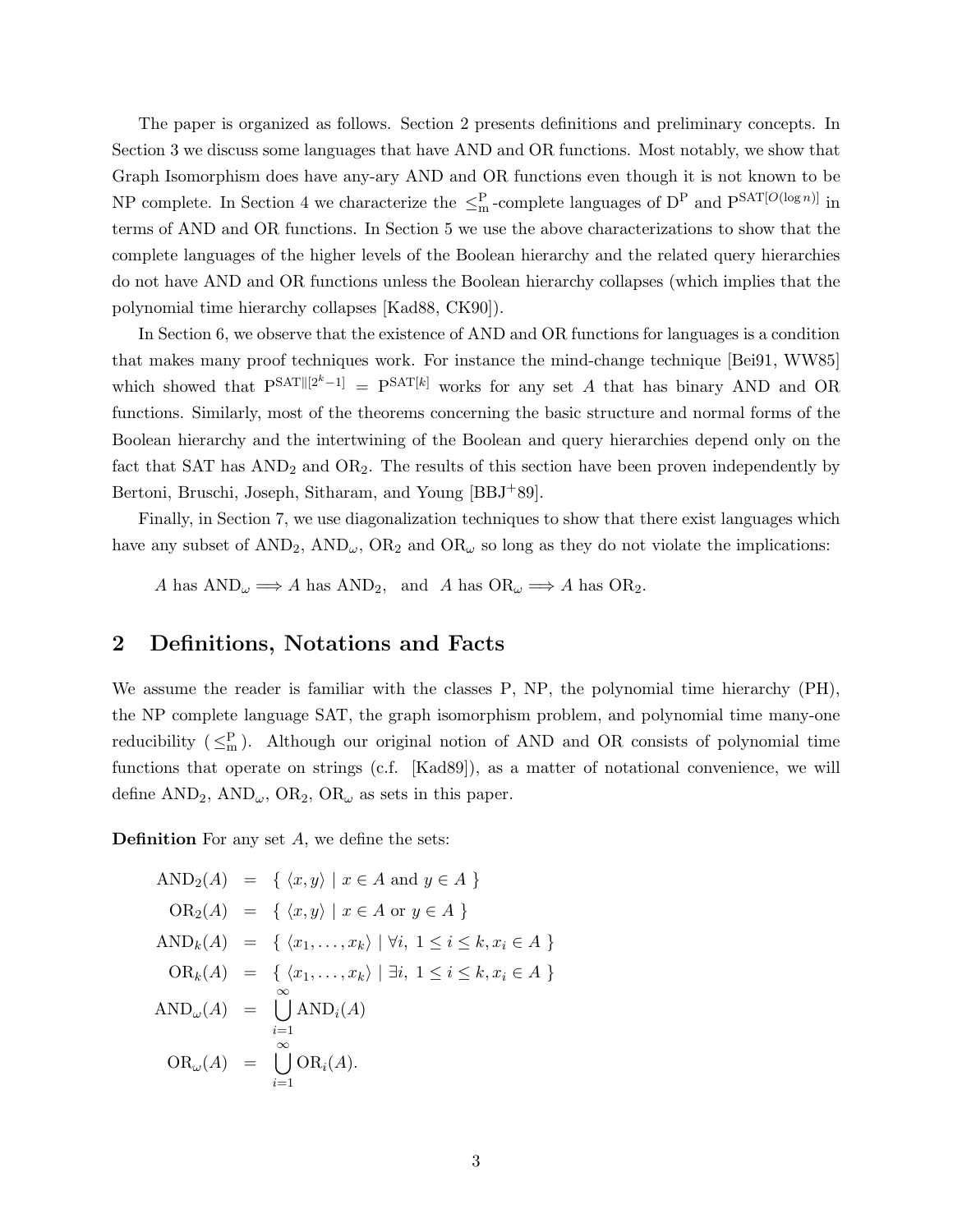The paper is organized as follows. Section 2 presents definitions and preliminary concepts. In Section 3 we discuss some languages that have AND and OR functions. Most notably, we show that Graph Isomorphism does have any-ary AND and OR functions even though it is not known to be NP complete. In Section 4 we characterize the  $\leq^P_m$ -complete languages of D<sup>P</sup> and P<sup>SAT[ $O(\log n)$ ] in</sup> terms of AND and OR functions. In Section 5 we use the above characterizations to show that the complete languages of the higher levels of the Boolean hierarchy and the related query hierarchies do not have AND and OR functions unless the Boolean hierarchy collapses (which implies that the polynomial time hierarchy collapses [Kad88, CK90]).

In Section 6, we observe that the existence of AND and OR functions for languages is a condition that makes many proof techniques work. For instance the mind-change technique [Bei91, WW85] which showed that  $P^{SAT[[2^k-1]} = P^{SAT[k]}$  works for any set A that has binary AND and OR functions. Similarly, most of the theorems concerning the basic structure and normal forms of the Boolean hierarchy and the intertwining of the Boolean and query hierarchies depend only on the fact that  $SAT$  has  $AND<sub>2</sub>$  and  $OR<sub>2</sub>$ . The results of this section have been proven independently by Bertoni, Bruschi, Joseph, Sitharam, and Young [BBJ+89].

Finally, in Section 7, we use diagonalization techniques to show that there exist languages which have any subset of  $AND_2$ ,  $AND_\omega$ ,  $OR_2$  and  $OR_\omega$  so long as they do not violate the implications:

A has  $AND_{\omega} \Longrightarrow A$  has  $AND_{2}$ , and A has  $OR_{\omega} \Longrightarrow A$  has  $OR_{2}$ .

# 2 Definitions, Notations and Facts

We assume the reader is familiar with the classes P, NP, the polynomial time hierarchy (PH), the NP complete language SAT, the graph isomorphism problem, and polynomial time many-one reducibility  $(\leq^P_m)$ . Although our original notion of AND and OR consists of polynomial time functions that operate on strings (c.f. [Kad89]), as a matter of notational convenience, we will define  $AND_2$ ,  $AND_\omega$ ,  $OR_2$ ,  $OR_\omega$  as sets in this paper.

**Definition** For any set  $A$ , we define the sets:

$$
AND_2(A) = \{ \langle x, y \rangle \mid x \in A \text{ and } y \in A \}
$$
  
\n
$$
OR_2(A) = \{ \langle x, y \rangle \mid x \in A \text{ or } y \in A \}
$$
  
\n
$$
AND_k(A) = \{ \langle x_1, \ldots, x_k \rangle \mid \forall i, 1 \le i \le k, x_i \in A \}
$$
  
\n
$$
OR_k(A) = \{ \langle x_1, \ldots, x_k \rangle \mid \exists i, 1 \le i \le k, x_i \in A \}
$$
  
\n
$$
AND_{\omega}(A) = \bigcup_{i=1}^{\infty} AND_i(A)
$$
  
\n
$$
OR_{\omega}(A) = \bigcup_{i=1}^{\infty} OR_i(A).
$$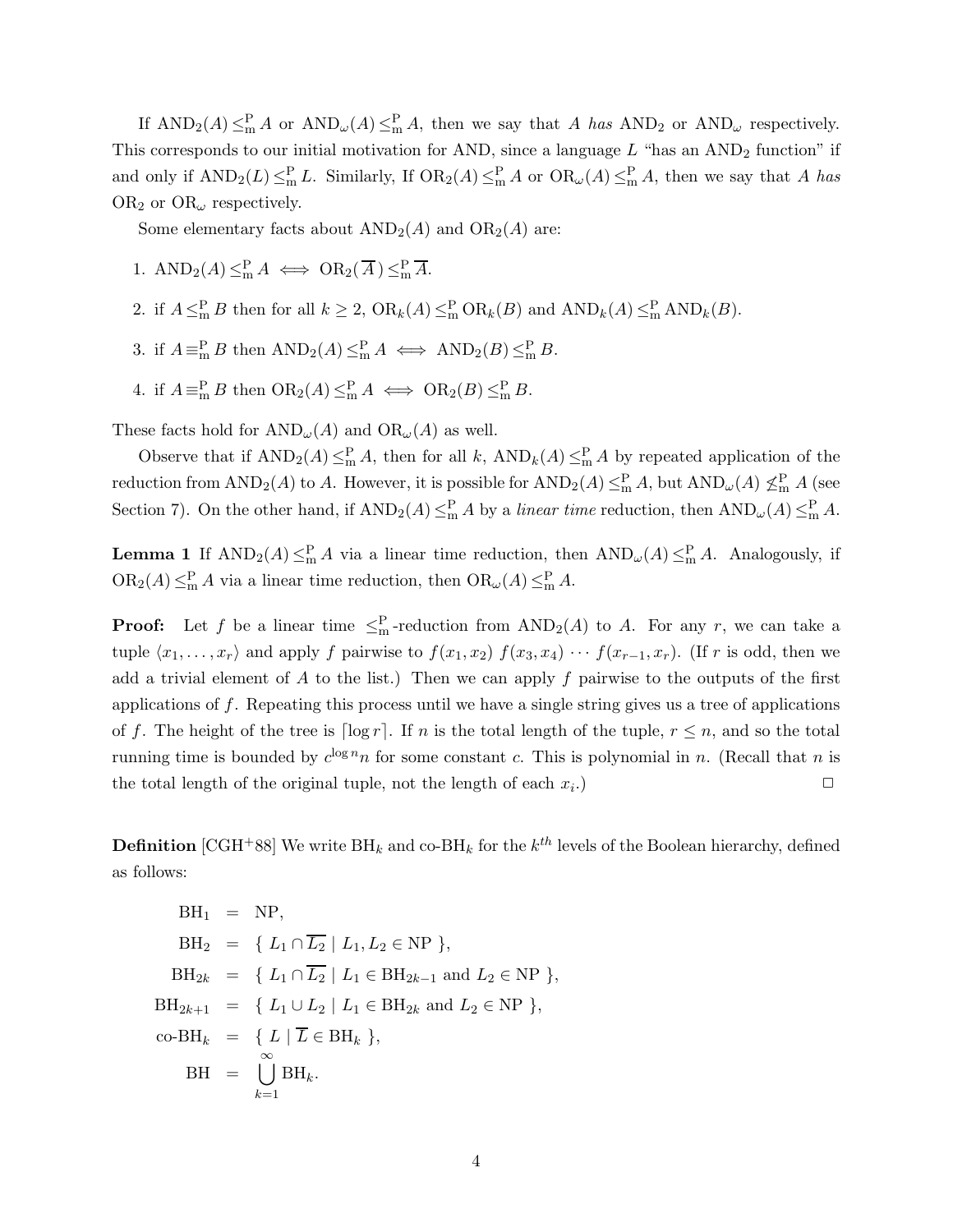If  $AND_2(A) \leq^P_{m} A$  or  $AND_{\omega}(A) \leq^P_{m} A$ , then we say that A has  $AND_2$  or  $AND_{\omega}$  respectively. This corresponds to our initial motivation for AND, since a language  $L$  "has an AND<sub>2</sub> function" if and only if  $AND_2(L) \leq^P_m L$ . Similarly, If  $OR_2(A) \leq^P_m A$  or  $OR_{\omega}(A) \leq^P_m A$ , then we say that A has OR<sub>2</sub> or OR<sub> $\omega$ </sub> respectively.

Some elementary facts about  $AND_2(A)$  and  $OR_2(A)$  are:

- 1.  $\text{AND}_2(A) \leq^P_{\text{m}} A \iff \text{OR}_2(\overline{A}) \leq^P_{\text{m}} \overline{A}.$
- 2. if  $A \leq^P_m B$  then for all  $k \geq 2$ ,  $OR_k(A) \leq^P_m OR_k(B)$  and  $AND_k(A) \leq^P_m AND_k(B)$ .
- 3. if  $A \equiv_{\text{m}}^{\text{P}} B$  then  $\text{AND}_2(A) \leq_{\text{m}}^{\text{P}} A \iff \text{AND}_2(B) \leq_{\text{m}}^{\text{P}} B$ .
- 4. if  $A \equiv_{\text{m}}^{\text{P}} B$  then  $\text{OR}_2(A) \leq_{\text{m}}^{\text{P}} A \iff \text{OR}_2(B) \leq_{\text{m}}^{\text{P}} B$ .

These facts hold for  $AND_{\omega}(A)$  and  $OR_{\omega}(A)$  as well.

Observe that if  $AND_2(A) \leq^P_m A$ , then for all k,  $AND_k(A) \leq^P_m A$  by repeated application of the reduction from  $AND_2(A)$  to A. However, it is possible for  $AND_2(A) \leq^P_m A$ , but  $AND_\omega(A) \nleq^P_m A$  (see Section 7). On the other hand, if  $AND_2(A) \leq^P_m A$  by a *linear time* reduction, then  $AND_\omega(A) \leq^P_m A$ .

**Lemma 1** If  $AND_2(A) \leq^P_{m} A$  via a linear time reduction, then  $AND_{\omega}(A) \leq^P_{m} A$ . Analogously, if  $OR_2(A) \leq^P_m A$  via a linear time reduction, then  $OR_\omega(A) \leq^P_m A$ .

**Proof:** Let f be a linear time  $\leq^P_m$ -reduction from  $AND_2(A)$  to A. For any r, we can take a tuple  $\langle x_1, \ldots, x_r \rangle$  and apply f pairwise to  $f(x_1, x_2)$   $f(x_3, x_4) \cdots f(x_{r-1}, x_r)$ . (If r is odd, then we add a trivial element of  $A$  to the list.) Then we can apply  $f$  pairwise to the outputs of the first applications of  $f$ . Repeating this process until we have a single string gives us a tree of applications of f. The height of the tree is  $\lceil \log r \rceil$ . If n is the total length of the tuple,  $r \leq n$ , and so the total running time is bounded by  $c^{\log n} n$  for some constant c. This is polynomial in n. (Recall that n is the total length of the original tuple, not the length of each  $x_i$ .) .)  $\qquad \qquad \Box$ 

**Definition** [CGH<sup>+</sup>88] We write  $\text{BH}_k$  and  $\text{co-BH}_k$  for the  $k^{th}$  levels of the Boolean hierarchy, defined as follows:

$$
BH_1 = NP,
$$
  
\n
$$
BH_2 = \{ L_1 \cap \overline{L_2} \mid L_1, L_2 \in NP \},
$$
  
\n
$$
BH_{2k} = \{ L_1 \cap \overline{L_2} \mid L_1 \in BH_{2k-1} \text{ and } L_2 \in NP \},
$$
  
\n
$$
BH_{2k+1} = \{ L_1 \cup L_2 \mid L_1 \in BH_{2k} \text{ and } L_2 \in NP \},
$$
  
\n
$$
co-BH_k = \{ L \mid \overline{L} \in BH_k \},
$$
  
\n
$$
BH = \bigcup_{k=1}^{\infty} BH_k.
$$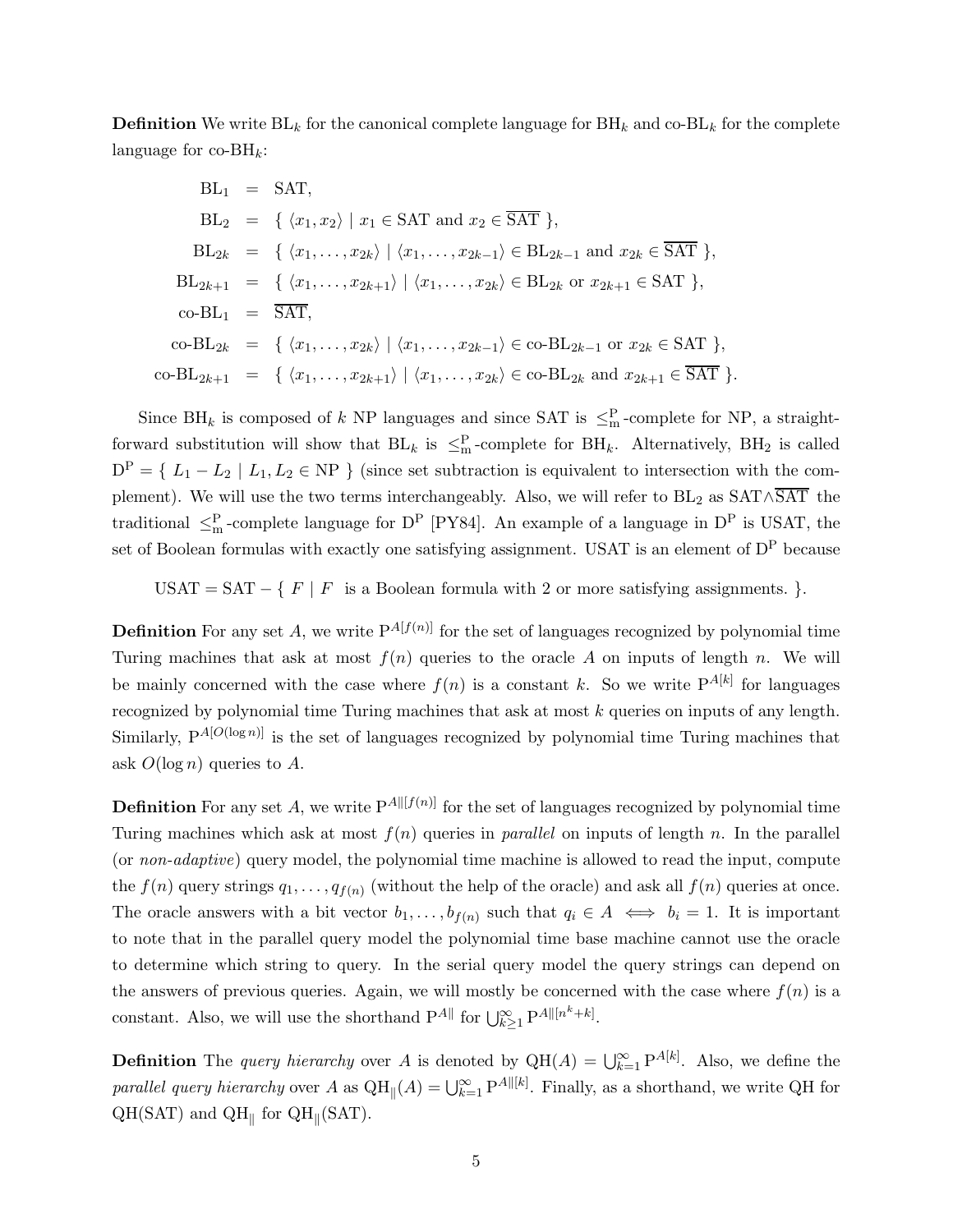**Definition** We write  $BL_k$  for the canonical complete language for  $BH_k$  and co- $BL_k$  for the complete language for  $\mathrm{co-BH}_k$ :

$$
BL_1 = SAT,
$$
  
\n
$$
BL_2 = \{ \langle x_1, x_2 \rangle \mid x_1 \in SAT \text{ and } x_2 \in \overline{SAT} \},
$$
  
\n
$$
BL_{2k} = \{ \langle x_1, \dots, x_{2k} \rangle \mid \langle x_1, \dots, x_{2k-1} \rangle \in BL_{2k-1} \text{ and } x_{2k} \in \overline{SAT} \},
$$
  
\n
$$
BL_{2k+1} = \{ \langle x_1, \dots, x_{2k+1} \rangle \mid \langle x_1, \dots, x_{2k} \rangle \in BL_{2k} \text{ or } x_{2k+1} \in SAT \},
$$
  
\n
$$
co-BL_1 = \overline{SAT},
$$
  
\n
$$
co-BL_{2k} = \{ \langle x_1, \dots, x_{2k} \rangle \mid \langle x_1, \dots, x_{2k-1} \rangle \in co-BL_{2k-1} \text{ or } x_{2k} \in SAT \},
$$
  
\n
$$
co-BL_{2k+1} = \{ \langle x_1, \dots, x_{2k+1} \rangle \mid \langle x_1, \dots, x_{2k} \rangle \in co-BL_{2k} \text{ and } x_{2k+1} \in \overline{SAT} \}.
$$

Since BH<sub>k</sub> is composed of k NP languages and since SAT is  $\leq^P_m$ -complete for NP, a straightforward substitution will show that  $BL_k$  is  $\leq_m^P$ -complete for  $BH_k$ . Alternatively,  $BH_2$  is called  $D^P = \{ L_1 - L_2 \mid L_1, L_2 \in NP \}$  (since set subtraction is equivalent to intersection with the complement). We will use the two terms interchangeably. Also, we will refer to  $BL_2$  as  $SAT ∧ \overline{SAT}$  the traditional  $\leq^P_m$ -complete language for D<sup>P</sup> [PY84]. An example of a language in D<sup>P</sup> is USAT, the set of Boolean formulas with exactly one satisfying assignment. USAT is an element of D<sup>P</sup> because

USAT = SAT – {  $F | F$  is a Boolean formula with 2 or more satisfying assignments. }.

**Definition** For any set A, we write  $P^{A[f(n)]}$  for the set of languages recognized by polynomial time Turing machines that ask at most  $f(n)$  queries to the oracle A on inputs of length n. We will be mainly concerned with the case where  $f(n)$  is a constant k. So we write  $P^{A[k]}$  for languages recognized by polynomial time Turing machines that ask at most k queries on inputs of any length. Similarly,  $P^{A[O(\log n)]}$  is the set of languages recognized by polynomial time Turing machines that ask  $O(\log n)$  queries to A.

**Definition** For any set A, we write  $P^{A \parallel [f(n)]}$  for the set of languages recognized by polynomial time Turing machines which ask at most  $f(n)$  queries in *parallel* on inputs of length n. In the parallel (or non-adaptive) query model, the polynomial time machine is allowed to read the input, compute the  $f(n)$  query strings  $q_1, \ldots, q_{f(n)}$  (without the help of the oracle) and ask all  $f(n)$  queries at once. The oracle answers with a bit vector  $b_1, \ldots, b_{f(n)}$  such that  $q_i \in A \iff b_i = 1$ . It is important to note that in the parallel query model the polynomial time base machine cannot use the oracle to determine which string to query. In the serial query model the query strings can depend on the answers of previous queries. Again, we will mostly be concerned with the case where  $f(n)$  is a constant. Also, we will use the shorthand  $P^{A\parallel}$  for  $\bigcup_{k\geq 1}^{\infty} P^{A\parallel [n^k+k]}$ .

**Definition** The *query hierarchy* over A is denoted by  $QH(A) = \bigcup_{k=1}^{\infty} P^{A[k]}$ . Also, we define the parallel query hierarchy over A as  $QH_{\parallel}(A) = \bigcup_{k=1}^{\infty} P^{A \parallel [k]}$ . Finally, as a shorthand, we write QH for  $\text{QH}(\text{SAT})$  and  $\text{QH}_{\parallel}$  for  $\text{QH}_{\parallel}(\text{SAT})$ .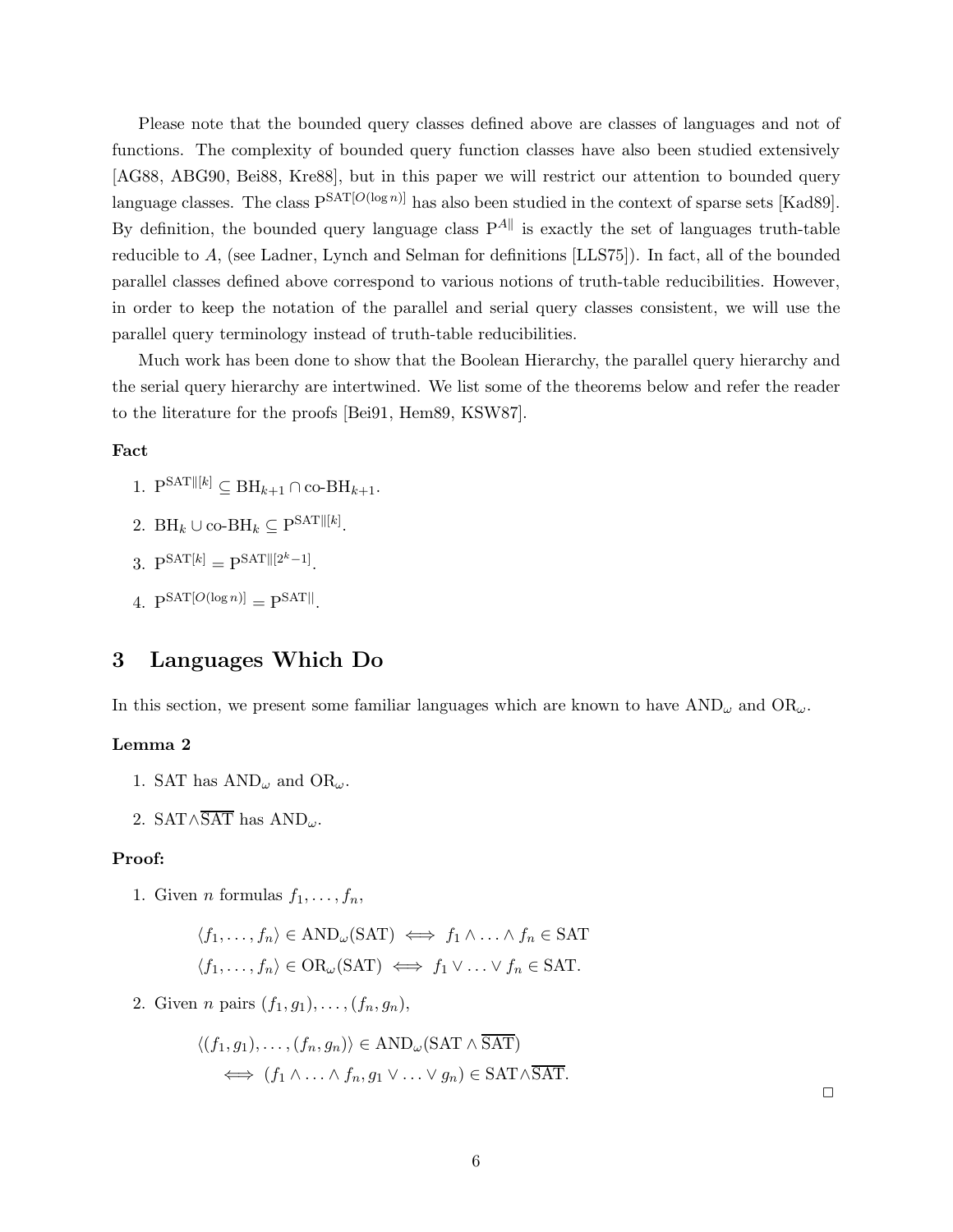Please note that the bounded query classes defined above are classes of languages and not of functions. The complexity of bounded query function classes have also been studied extensively [AG88, ABG90, Bei88, Kre88], but in this paper we will restrict our attention to bounded query language classes. The class  $P^{SAT[O(\log n)]}$  has also been studied in the context of sparse sets [Kad89]. By definition, the bounded query language class  $P^{A\parallel}$  is exactly the set of languages truth-table reducible to A, (see Ladner, Lynch and Selman for definitions [LLS75]). In fact, all of the bounded parallel classes defined above correspond to various notions of truth-table reducibilities. However, in order to keep the notation of the parallel and serial query classes consistent, we will use the parallel query terminology instead of truth-table reducibilities.

Much work has been done to show that the Boolean Hierarchy, the parallel query hierarchy and the serial query hierarchy are intertwined. We list some of the theorems below and refer the reader to the literature for the proofs [Bei91, Hem89, KSW87].

#### Fact

- 1.  $P^{SAT||[k]} \subseteq BH_{k+1} \cap co-BH_{k+1}.$
- 2. BH<sub>k</sub> ∪ co-BH<sub>k</sub>  $\subseteq$  P<sup>SAT||[k]</sup>.
- 3.  $P^{SAT[k]} = P^{SAT[[2^k-1]}.$
- 4.  $P^{SAT[O(\log n)]} = P^{SAT||}$ .

## 3 Languages Which Do

In this section, we present some familiar languages which are known to have  $\text{AND}_\omega$  and  $\text{OR}_\omega$ .

## Lemma 2

- 1. SAT has  $AND_{\omega}$  and  $OR_{\omega}$ .
- 2. SAT∧SAT has  $AND_{\omega}$ .

#### Proof:

1. Given *n* formulas  $f_1, \ldots, f_n$ ,

$$
\langle f_1, \ldots, f_n \rangle \in \text{AND}_{\omega}(\text{SAT}) \iff f_1 \land \ldots \land f_n \in \text{SAT}
$$
  
 $\langle f_1, \ldots, f_n \rangle \in \text{OR}_{\omega}(\text{SAT}) \iff f_1 \lor \ldots \lor f_n \in \text{SAT}.$ 

2. Given *n* pairs  $(f_1, g_1), \ldots, (f_n, g_n)$ ,

$$
\langle (f_1, g_1), \dots, (f_n, g_n) \rangle \in AND_{\omega}(\text{SAT} \land \overline{\text{SAT}})
$$
  

$$
\iff (f_1 \land \dots \land f_n, g_1 \lor \dots \lor g_n) \in \text{SAT} \land \overline{\text{SAT}}.
$$

 $\Box$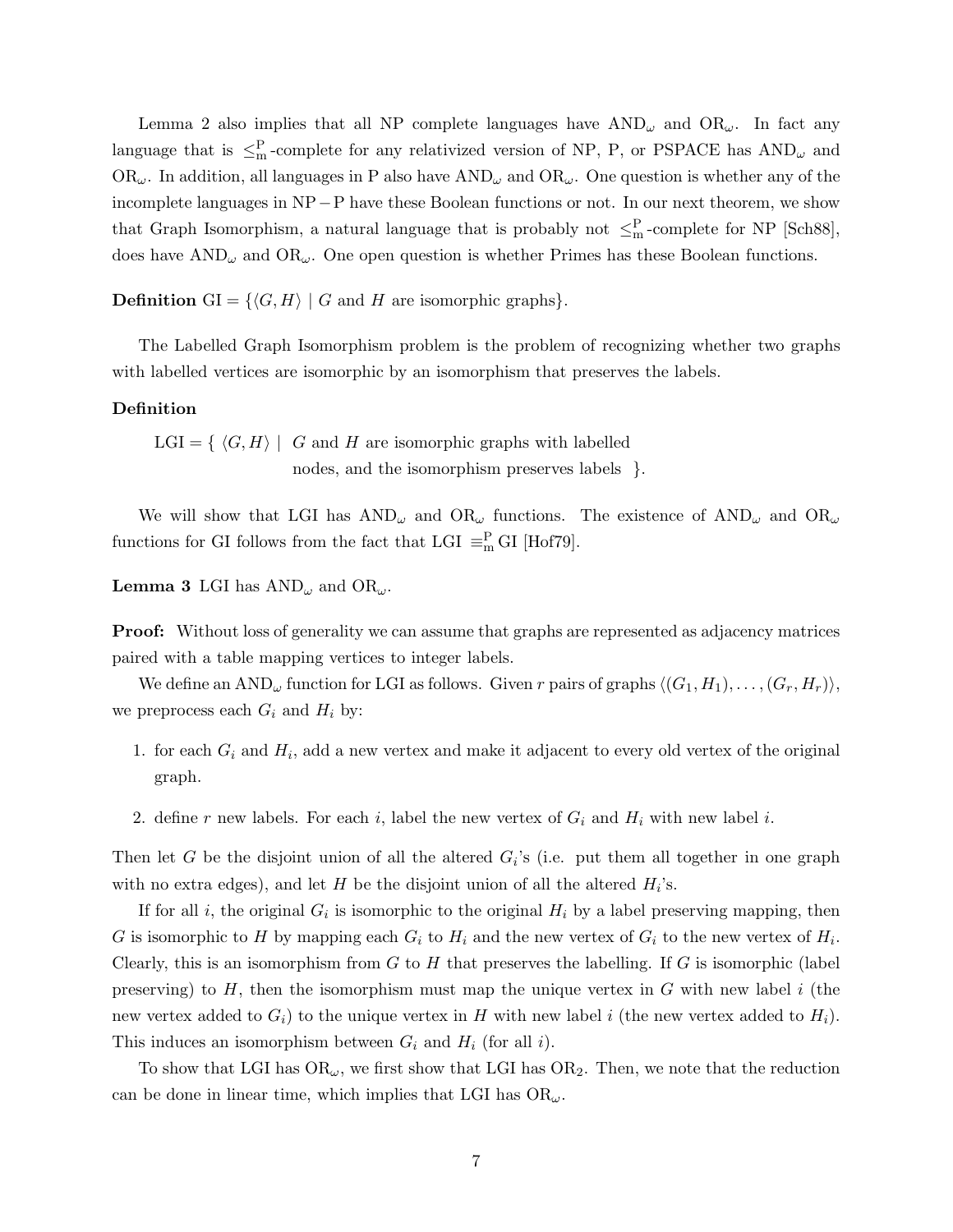Lemma 2 also implies that all NP complete languages have  $AND_{\omega}$  and  $OR_{\omega}$ . In fact any language that is  $\leq^P_m$ -complete for any relativized version of NP, P, or PSPACE has  $AND_\omega$  and  $OR_{\omega}$ . In addition, all languages in P also have  $AND_{\omega}$  and  $OR_{\omega}$ . One question is whether any of the incomplete languages in NP−P have these Boolean functions or not. In our next theorem, we show that Graph Isomorphism, a natural language that is probably not  $\leq^P_m$ -complete for NP [Sch88], does have  $AND_{\omega}$  and  $OR_{\omega}$ . One open question is whether Primes has these Boolean functions.

**Definition** GI =  $\{\langle G, H \rangle \mid G \text{ and } H \text{ are isomorphic graphs}\}.$ 

The Labelled Graph Isomorphism problem is the problem of recognizing whether two graphs with labelled vertices are isomorphic by an isomorphism that preserves the labels.

## Definition

 $LGI = \{ \langle G, H \rangle \mid G \text{ and } H \text{ are isomorphic graphs with labelled } \}$ nodes, and the isomorphism preserves labels  $\}$ .

We will show that LGI has  $AND_{\omega}$  and  $OR_{\omega}$  functions. The existence of  $AND_{\omega}$  and  $OR_{\omega}$ functions for GI follows from the fact that LGI  $\equiv_{\text{m}}^{\text{P}}$  GI [Hof79].

**Lemma 3** LGI has  $AND_{\omega}$  and  $OR_{\omega}$ .

Proof: Without loss of generality we can assume that graphs are represented as adjacency matrices paired with a table mapping vertices to integer labels.

We define an AND<sub> $\omega$ </sub> function for LGI as follows. Given r pairs of graphs  $\langle (G_1, H_1), \ldots, (G_r, H_r) \rangle$ , we preprocess each  $G_i$  and  $H_i$  by:

- 1. for each  $G_i$  and  $H_i$ , add a new vertex and make it adjacent to every old vertex of the original graph.
- 2. define r new labels. For each i, label the new vertex of  $G_i$  and  $H_i$  with new label i.

Then let G be the disjoint union of all the altered  $G_i$ 's (i.e. put them all together in one graph with no extra edges), and let  $H$  be the disjoint union of all the altered  $H_i$ 's.

If for all *i*, the original  $G_i$  is isomorphic to the original  $H_i$  by a label preserving mapping, then G is isomorphic to H by mapping each  $G_i$  to  $H_i$  and the new vertex of  $G_i$  to the new vertex of  $H_i$ . Clearly, this is an isomorphism from  $G$  to  $H$  that preserves the labelling. If  $G$  is isomorphic (label preserving) to  $H$ , then the isomorphism must map the unique vertex in  $G$  with new label  $i$  (the new vertex added to  $G_i$ ) to the unique vertex in H with new label i (the new vertex added to  $H_i$ ). This induces an isomorphism between  $G_i$  and  $H_i$  (for all i).

To show that LGI has  $OR_{\omega}$ , we first show that LGI has  $OR_2$ . Then, we note that the reduction can be done in linear time, which implies that LGI has  $OR_{\omega}$ .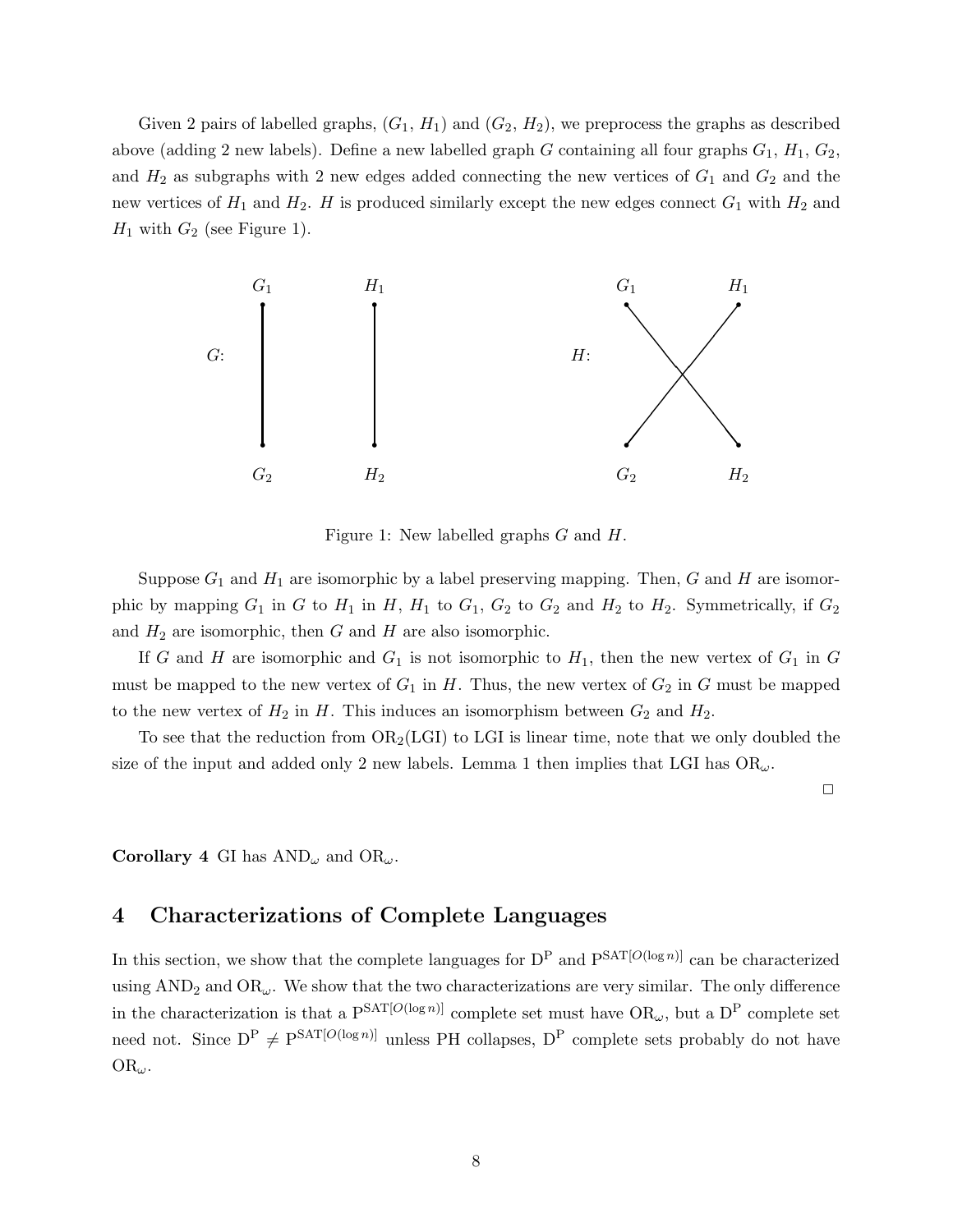Given 2 pairs of labelled graphs,  $(G_1, H_1)$  and  $(G_2, H_2)$ , we preprocess the graphs as described above (adding 2 new labels). Define a new labelled graph G containing all four graphs  $G_1$ ,  $H_1$ ,  $G_2$ , and  $H_2$  as subgraphs with 2 new edges added connecting the new vertices of  $G_1$  and  $G_2$  and the new vertices of  $H_1$  and  $H_2$ . H is produced similarly except the new edges connect  $G_1$  with  $H_2$  and  $H_1$  with  $G_2$  (see Figure 1).



Figure 1: New labelled graphs G and H.

Suppose  $G_1$  and  $H_1$  are isomorphic by a label preserving mapping. Then, G and H are isomorphic by mapping  $G_1$  in G to  $H_1$  in H,  $H_1$  to  $G_1$ ,  $G_2$  to  $G_2$  and  $H_2$  to  $H_2$ . Symmetrically, if  $G_2$ and  $H_2$  are isomorphic, then G and H are also isomorphic.

If G and H are isomorphic and  $G_1$  is not isomorphic to  $H_1$ , then the new vertex of  $G_1$  in G must be mapped to the new vertex of  $G_1$  in H. Thus, the new vertex of  $G_2$  in G must be mapped to the new vertex of  $H_2$  in H. This induces an isomorphism between  $G_2$  and  $H_2$ .

To see that the reduction from  $OR_2(LGI)$  to LGI is linear time, note that we only doubled the size of the input and added only 2 new labels. Lemma 1 then implies that LGI has  $OR_{\omega}$ .

 $\Box$ 

**Corollary 4** GI has  $AND_{\omega}$  and  $OR_{\omega}$ .

# 4 Characterizations of Complete Languages

In this section, we show that the complete languages for  $D^P$  and  $P^{SAT[O(\log n)]}$  can be characterized using  $AND<sub>2</sub>$  and  $OR<sub>\omega</sub>$ . We show that the two characterizations are very similar. The only difference in the characterization is that a  $P^{SAT[O(\log n)]}$  complete set must have  $OR_{\omega}$ , but a  $D^P$  complete set need not. Since  $D^P \neq P^{SAT[O(\log n)]}$  unless PH collapses,  $D^P$  complete sets probably do not have  $OR_{\omega}$ .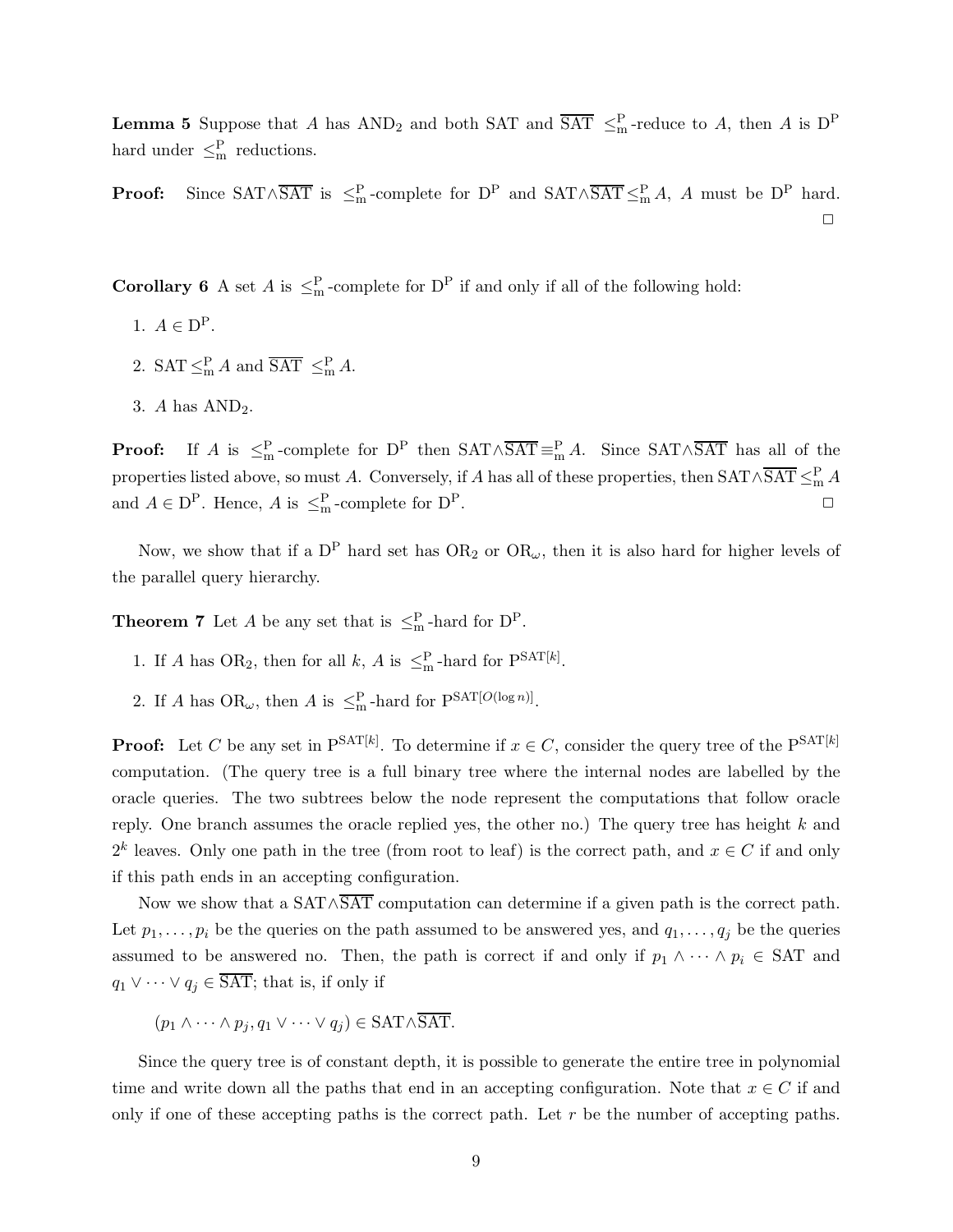**Lemma 5** Suppose that A has  $AND_2$  and both SAT and  $\overline{SAT} \leq_m^P$ -reduce to A, then A is  $D^P$ hard under  $\leq^P_m$  reductions.

**Proof:** Since  $SAT \wedge \overline{SAT}$  is  $\leq^P_m$ -complete for  $D^P$  and  $SAT \wedge \overline{SAT} \leq^P_m A$ , A must be  $D^P$  hard.  $\Box$ 

**Corollary 6** A set A is  $\leq^P_m$ -complete for D<sup>P</sup> if and only if all of the following hold:

- 1.  $A \in \mathcal{D}^{\mathcal{P}}$ .
- 2.  $SAT \leq^P_m A$  and  $\overline{SAT} \leq^P_m A$ .
- 3. A has  $AND<sub>2</sub>$ .

**Proof:** If A is  $\leq^P_m$ -complete for D<sup>P</sup> then  $SAT \wedge \overline{SAT} \equiv^P_m A$ . Since  $SAT \wedge \overline{SAT}$  has all of the properties listed above, so must A. Conversely, if A has all of these properties, then  $SAT \wedge \overline{SAT} \leq^P_m A$ and  $A \in \mathcal{D}^{\mathcal{P}}$ . Hence, A is  $\leq^{\mathcal{P}}_{m}$ -complete for  $\mathcal{D}^{\mathcal{P}}$ .

Now, we show that if a  $D^P$  hard set has  $OR_2$  or  $OR_\omega$ , then it is also hard for higher levels of the parallel query hierarchy.

**Theorem 7** Let A be any set that is  $\leq^P_m$ -hard for  $D^P$ .

- 1. If A has OR<sub>2</sub>, then for all k, A is  $\leq^P_m$ -hard for  $P^{SAT[k]}$ .
- 2. If A has  $OR_{\omega}$ , then A is  $\leq^P_m$ -hard for  $P^{SAT[O(\log n)]}$ .

**Proof:** Let C be any set in  $P<sup>SAT[k]</sup>$ . To determine if  $x \in C$ , consider the query tree of the  $P<sup>SAT[k]</sup>$ computation. (The query tree is a full binary tree where the internal nodes are labelled by the oracle queries. The two subtrees below the node represent the computations that follow oracle reply. One branch assumes the oracle replied yes, the other no.) The query tree has height k and  $2^k$  leaves. Only one path in the tree (from root to leaf) is the correct path, and  $x \in C$  if and only if this path ends in an accepting configuration.

Now we show that a SAT∧SAT computation can determine if a given path is the correct path. Let  $p_1, \ldots, p_i$  be the queries on the path assumed to be answered yes, and  $q_1, \ldots, q_j$  be the queries assumed to be answered no. Then, the path is correct if and only if  $p_1 \wedge \cdots \wedge p_i \in SAT$  and  $q_1 \vee \cdots \vee q_j \in \overline{\text{SAT}}$ ; that is, if only if

$$
(p_1 \wedge \cdots \wedge p_j, q_1 \vee \cdots \vee q_j) \in \text{SAT} \wedge \overline{\text{SAT}}.
$$

Since the query tree is of constant depth, it is possible to generate the entire tree in polynomial time and write down all the paths that end in an accepting configuration. Note that  $x \in C$  if and only if one of these accepting paths is the correct path. Let  $r$  be the number of accepting paths.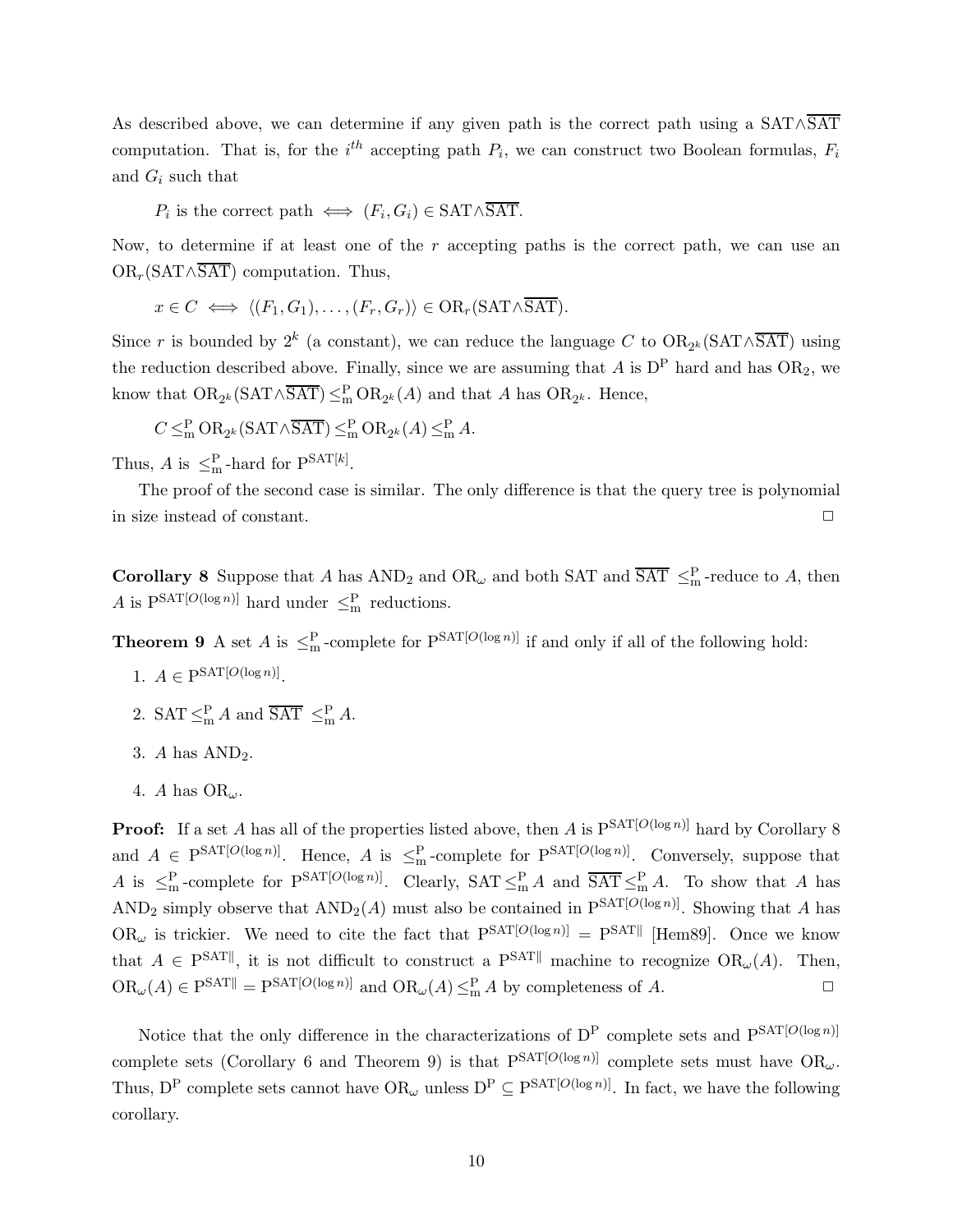As described above, we can determine if any given path is the correct path using a SAT∧SAT computation. That is, for the  $i^{th}$  accepting path  $P_i$ , we can construct two Boolean formulas,  $F_i$ and  $G_i$  such that

 $P_i$  is the correct path  $\iff$   $(F_i, G_i) \in \text{SAT} \land \text{SAT}$ .

Now, to determine if at least one of the  $r$  accepting paths is the correct path, we can use an  $OR_r(SAT \wedge \overline{SAT})$  computation. Thus,

$$
x \in C \iff \langle (F_1, G_1), \dots, (F_r, G_r) \rangle \in \mathrm{OR}_r(\mathrm{SAT} \wedge \overline{\mathrm{SAT}}).
$$

Since r is bounded by  $2^k$  (a constant), we can reduce the language C to  $OR_{2^k}(SAT \wedge \overline{SAT})$  using the reduction described above. Finally, since we are assuming that A is  $D^P$  hard and has  $OR_2$ , we know that  $OR_{2^k}(SAT \wedge \overline{SAT}) \leq^P_m OR_{2^k}(A)$  and that A has  $OR_{2^k}$ . Hence,

$$
C \leq^{\mathsf{P}}_{\mathsf{m}} \mathsf{OR}_{2^k}(\mathsf{SAT} \wedge \overline{\mathsf{SAT}}) \leq^{\mathsf{P}}_{\mathsf{m}} \mathsf{OR}_{2^k}(A) \leq^{\mathsf{P}}_{\mathsf{m}} A.
$$

Thus, A is  $\leq^P_m$ -hard for  $P^{SAT[k]}$ .

The proof of the second case is similar. The only difference is that the query tree is polynomial in size instead of constant.  $\Box$ 

**Corollary 8** Suppose that A has  $AND_2$  and  $OR_\omega$  and both SAT and  $\overline{SAT} \leq_m^P$ -reduce to A, then A is  $P^{SAT[O(\log n)]}$  hard under  $\leq^P_m$  reductions.

**Theorem 9** A set A is  $\leq^P_m$ -complete for  $P^{SAT[O(\log n)]}$  if and only if all of the following hold:

- 1.  $A \in \mathcal{P}^{\text{SAT}[O(\log n)]}.$
- 2.  $SAT \leq_m^P A$  and  $\overline{SAT} \leq_m^P A$ .
- 3. A has  $AND<sub>2</sub>$ .
- 4. A has  $OR_{\omega}$ .

**Proof:** If a set A has all of the properties listed above, then A is  $P^{SAT[O(\log n)]}$  hard by Corollary 8 and  $A \in P^{SAT[O(\log n)]}$ . Hence, A is  $\leq^P_m$ -complete for  $P^{SAT[O(\log n)]}$ . Conversely, suppose that A is  $\leq^P_m$ -complete for  $P^{SAT[O(\log n)]}$ . Clearly,  $SAT \leq^P_m A$  and  $\overline{SAT} \leq^P_m A$ . To show that A has AND<sub>2</sub> simply observe that  $AND_2(A)$  must also be contained in  $P<sup>SAT[O(log n)]</sup>$ . Showing that A has  $OR_{\omega}$  is trickier. We need to cite the fact that  $P<sup>SAT[O(log n)]</sup> = P<sup>SAT</sup>$  [Hem89]. Once we know that  $A \in \mathbb{P}^{\text{SAT}||}$ , it is not difficult to construct a  $\mathbb{P}^{\text{SAT}||}$  machine to recognize  $\text{OR}_{\omega}(A)$ . Then,  $OR_{\omega}(A) \in P^{SAT||} = P^{SAT[O(\log n)]}$  and  $OR_{\omega}(A) \leq^P_{m} A$  by completeness of A.  $\square$ 

Notice that the only difference in the characterizations of  $D^P$  complete sets and  $P^{SAT[O(\log n)]}$ complete sets (Corollary 6 and Theorem 9) is that  $P^{SAT[O(\log n)]}$  complete sets must have  $OR_{\omega}$ . Thus, D<sup>P</sup> complete sets cannot have  $OR_\omega$  unless  $D^P \subseteq P^{SAT[O(\log n)]}$ . In fact, we have the following corollary.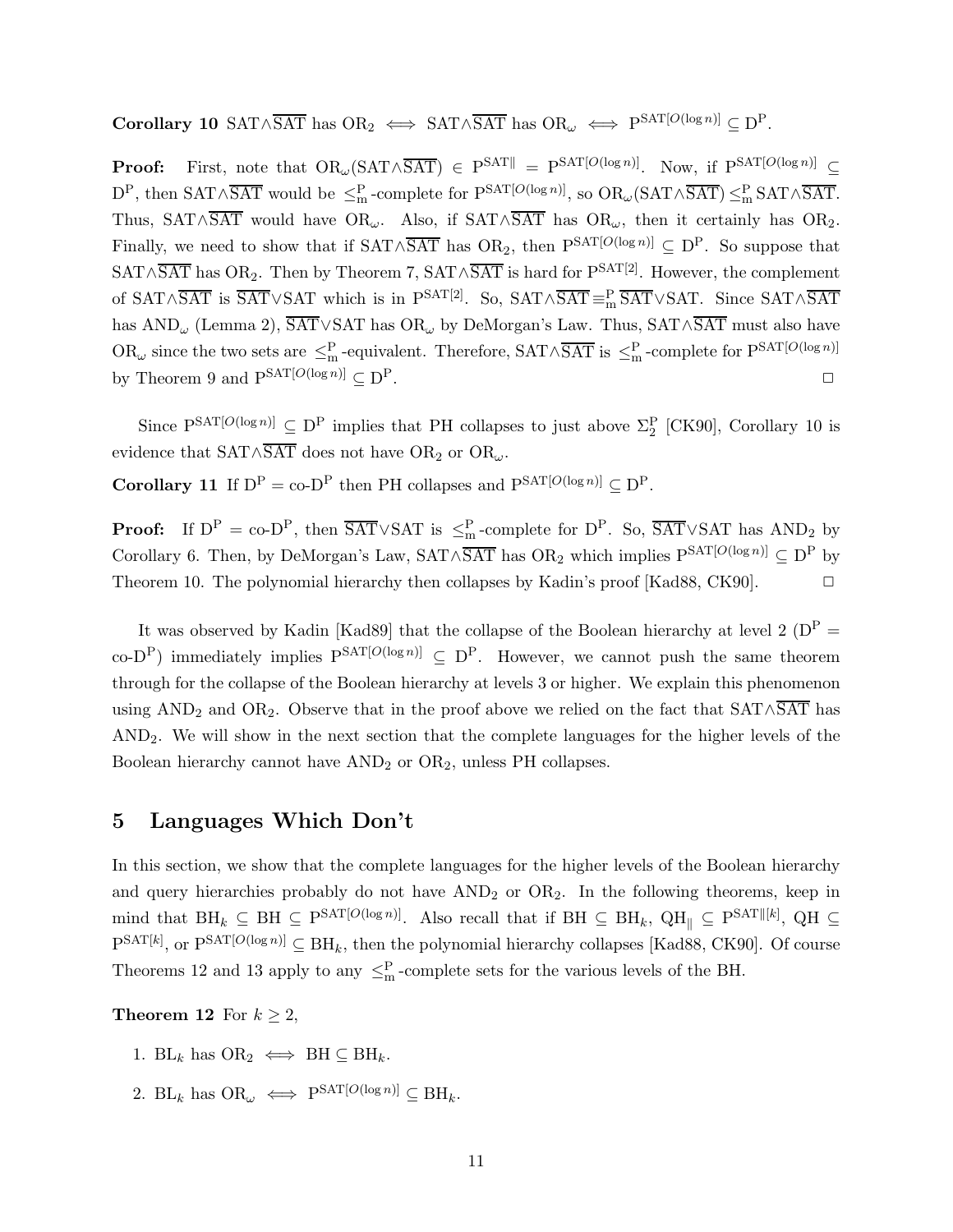Corollary 10 SAT∧ $\overline{SAT}$  has  $OR_2 \iff SAT \wedge \overline{SAT}$  has  $OR_\omega \iff P^{SAT[O(\log n)]} \subseteq D^P$ .

**Proof:** First, note that  $OR_{\omega}(SAT \wedge \overline{SAT}) \in P<sup>SAT</sup>|| = P<sup>SAT[O(log n)]</sup>$ . Now, if  $P<sup>SAT[O(log n)]</sup> \subseteq$  $D^P$ , then  $SAT \wedge \overline{SAT}$  would be  $\leq^P_m$ -complete for  $P^{SAT[O(\log n)]}$ , so  $OR_\omega(SAT \wedge \overline{SAT}) \leq^P_m SAT \wedge \overline{SAT}$ . Thus, SAT∧SAT would have OR<sub>ω</sub>. Also, if SAT∧SAT has OR<sub>ω</sub>, then it certainly has OR<sub>2</sub>. Finally, we need to show that if SAT∧SAT has  $OR_2$ , then  $P^{SAT[O(\log n)]} \subseteq D^P$ . So suppose that SAT∧SAT has OR<sub>2</sub>. Then by Theorem 7, SAT∧SAT is hard for  $P^{SAT[2]}$ . However, the complement of SAT∧SAT is  $\overline{SAT} \vee SAT$  which is in  $P^{SAT[2]}$ . So,  $SAT \wedge \overline{SAT} =^P_m \overline{SAT} \vee SAT$ . Since  $SAT \wedge \overline{SAT}$ has AND<sup>ω</sup> (Lemma 2), SAT∨SAT has OR<sup>ω</sup> by DeMorgan's Law. Thus, SAT∧SAT must also have  $OR_{\omega}$  since the two sets are  $\leq^P_m$ -equivalent. Therefore,  $SAT \wedge \overline{SAT}$  is  $\leq^P_m$ -complete for  $P<sup>SAT[O(\log n)]</sup>$ </sup> by Theorem 9 and  $P^{SAT[O(\log n)]} \subset D^P$ .

Since  $P^{SAT[O(\log n)]} \subseteq D^P$  implies that PH collapses to just above  $\Sigma_2^P$  [CK90], Corollary 10 is evidence that  $SAT \wedge \overline{SAT}$  does not have OR<sub>2</sub> or OR<sub>ω</sub>.

**Corollary 11** If  $D^P = co-D^P$  then PH collapses and  $P^{SAT[O(\log n)]} \subseteq D^P$ .

**Proof:** If  $D^P = co-D^P$ , then  $\overline{SAT} \vee SAT$  is  $\leq^P_m$ -complete for  $D^P$ . So,  $\overline{SAT} \vee SAT$  has  $AND_2$  by Corollary 6. Then, by DeMorgan's Law, SAT∧SAT has OR<sub>2</sub> which implies P<sup>SAT[O(log n)]</sup>  $\subseteq$  D<sup>P</sup> by Theorem 10. The polynomial hierarchy then collapses by Kadin's proof [Kad88, CK90].  $\Box$ 

It was observed by Kadin [Kad89] that the collapse of the Boolean hierarchy at level 2 ( $D^P$  = co-D<sup>P</sup>) immediately implies  $P^{SAT[O(\log n)]} \subseteq D^P$ . However, we cannot push the same theorem through for the collapse of the Boolean hierarchy at levels 3 or higher. We explain this phenomenon using  $AND_2$  and  $OR_2$ . Observe that in the proof above we relied on the fact that  $SAT \wedge \overline{SAT}$  has AND2. We will show in the next section that the complete languages for the higher levels of the Boolean hierarchy cannot have  $AND_2$  or  $OR_2$ , unless PH collapses.

## 5 Languages Which Don't

In this section, we show that the complete languages for the higher levels of the Boolean hierarchy and query hierarchies probably do not have  $AND<sub>2</sub>$  or  $OR<sub>2</sub>$ . In the following theorems, keep in mind that  $\text{BH}_k \subseteq \text{BH} \subseteq \text{P}^{\text{SAT}[O(\log n)]}$ . Also recall that if  $\text{BH} \subseteq \text{BH}_k$ ,  $\text{QH}_{\parallel} \subseteq \text{P}^{\text{SAT}||[k]}$ ,  $\text{QH} \subseteq$  $P^{SAT[k]}$ , or  $P^{SAT[O(\log n)]} \subseteq BH_k$ , then the polynomial hierarchy collapses [Kad88, CK90]. Of course Theorems 12 and 13 apply to any  $\leq^P_m$ -complete sets for the various levels of the BH.

**Theorem 12** For  $k \geq 2$ ,

- 1. BL<sub>k</sub> has  $OR_2 \iff BH \subseteq BH_k$ .
- 2. BL<sub>k</sub> has  $OR_{\omega} \iff P^{SAT[O(\log n)]} \subseteq BH_k$ .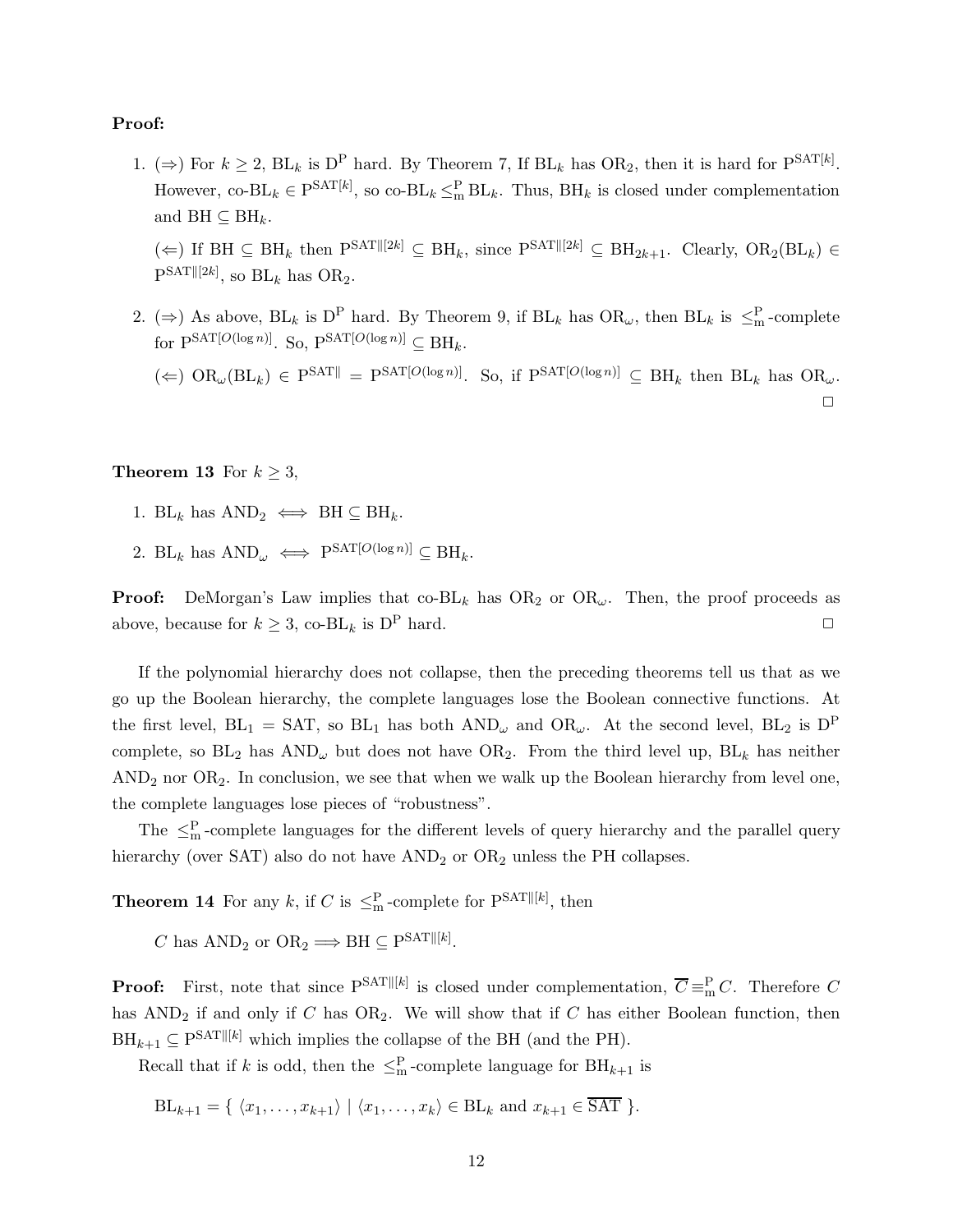## Proof:

1. ( $\Rightarrow$ ) For  $k \geq 2$ , BL<sub>k</sub> is D<sup>P</sup> hard. By Theorem 7, If BL<sub>k</sub> has OR<sub>2</sub>, then it is hard for P<sup>SAT[k]</sup>. However, co-BL<sub>k</sub>  $\in$  P<sup>SAT[k]</sup>, so co-BL<sub>k</sub>  $\leq$ <sup>P</sup><sub>m</sub> BL<sub>k</sub>. Thus, BH<sub>k</sub> is closed under complementation and  $\text{BH} \subset \text{BH}_k$ .

(←) If BH  $\subseteq$  BH<sub>k</sub> then P<sup>SAT||[2k]</sup>  $\subseteq$  BH<sub>k</sub>, since P<sup>SAT||[2k]</sup>  $\subseteq$  BH<sub>2k+1</sub>. Clearly, OR<sub>2</sub>(BL<sub>k</sub>)  $\in$  $P^{SAT||[2k]}$ , so  $BL_k$  has  $OR_2$ .

2. ( $\Rightarrow$ ) As above, BL<sub>k</sub> is D<sup>P</sup> hard. By Theorem 9, if BL<sub>k</sub> has OR<sub>ω</sub>, then BL<sub>k</sub> is  $\leq^P_m$ -complete for PSAT[ $O(\log n)$ ]. So, PSAT[ $O(\log n)$ ]  $\subseteq$  BH<sub>k</sub>.

 $(\Leftarrow)$   $OR_{\omega}(BL_k) \in P^{SAT}$  =  $P^{SAT[O(\log n)]}$ . So, if  $P^{SAT[O(\log n)]} \subseteq BH_k$  then  $BL_k$  has  $OR_{\omega}$ .  $\Box$ 

### **Theorem 13** For  $k \geq 3$ ,

- 1. BL<sub>k</sub> has  $AND_2 \iff BH \subseteq BH_k$ .
- 2. BL<sub>k</sub> has  $AND_{\omega} \iff P^{SAT[O(\log n)]} \subseteq BH_k$ .

**Proof:** DeMorgan's Law implies that  $\text{co-BL}_k$  has  $\text{OR}_2$  or  $\text{OR}_\omega$ . Then, the proof proceeds as above, because for  $k \geq 3$ , co-BL<sub>k</sub> is D<sup>P</sup> hard.

If the polynomial hierarchy does not collapse, then the preceding theorems tell us that as we go up the Boolean hierarchy, the complete languages lose the Boolean connective functions. At the first level,  $BL_1 = SAT$ , so  $BL_1$  has both  $AND_\omega$  and  $OR_\omega$ . At the second level,  $BL_2$  is  $D^P$ complete, so  $BL_2$  has  $AND_\omega$  but does not have  $OR_2$ . From the third level up,  $BL_k$  has neither  $AND<sub>2</sub>$  nor  $OR<sub>2</sub>$ . In conclusion, we see that when we walk up the Boolean hierarchy from level one, the complete languages lose pieces of "robustness".

The  $\leq^P_m$ -complete languages for the different levels of query hierarchy and the parallel query hierarchy (over SAT) also do not have  $AND_2$  or  $OR_2$  unless the PH collapses.

**Theorem 14** For any k, if C is  $\leq^{\mathbf{P}}_{\mathbf{m}}$ -complete for  $\mathbf{P}^{\text{SAT}}[[k])$ , then

C has  $AND_2$  or  $OR_2 \Longrightarrow BH \subseteq P^{SAT||[k]}$ .

**Proof:** First, note that since  $P^{SAT||[k]}$  is closed under complementation,  $\overline{C} \equiv_{\text{m}}^P C$ . Therefore C has  $AND_2$  if and only if C has  $OR_2$ . We will show that if C has either Boolean function, then  $\text{BH}_{k+1} \subseteq \text{P}^{\text{SAT}}[[k]]$  which implies the collapse of the BH (and the PH).

Recall that if k is odd, then the  $\leq^{\mathcal{P}}_{m}$ -complete language for  $\text{BH}_{k+1}$  is

$$
BL_{k+1} = \{ \langle x_1, \ldots, x_{k+1} \rangle \mid \langle x_1, \ldots, x_k \rangle \in BL_k \text{ and } x_{k+1} \in \overline{SAT} \}.
$$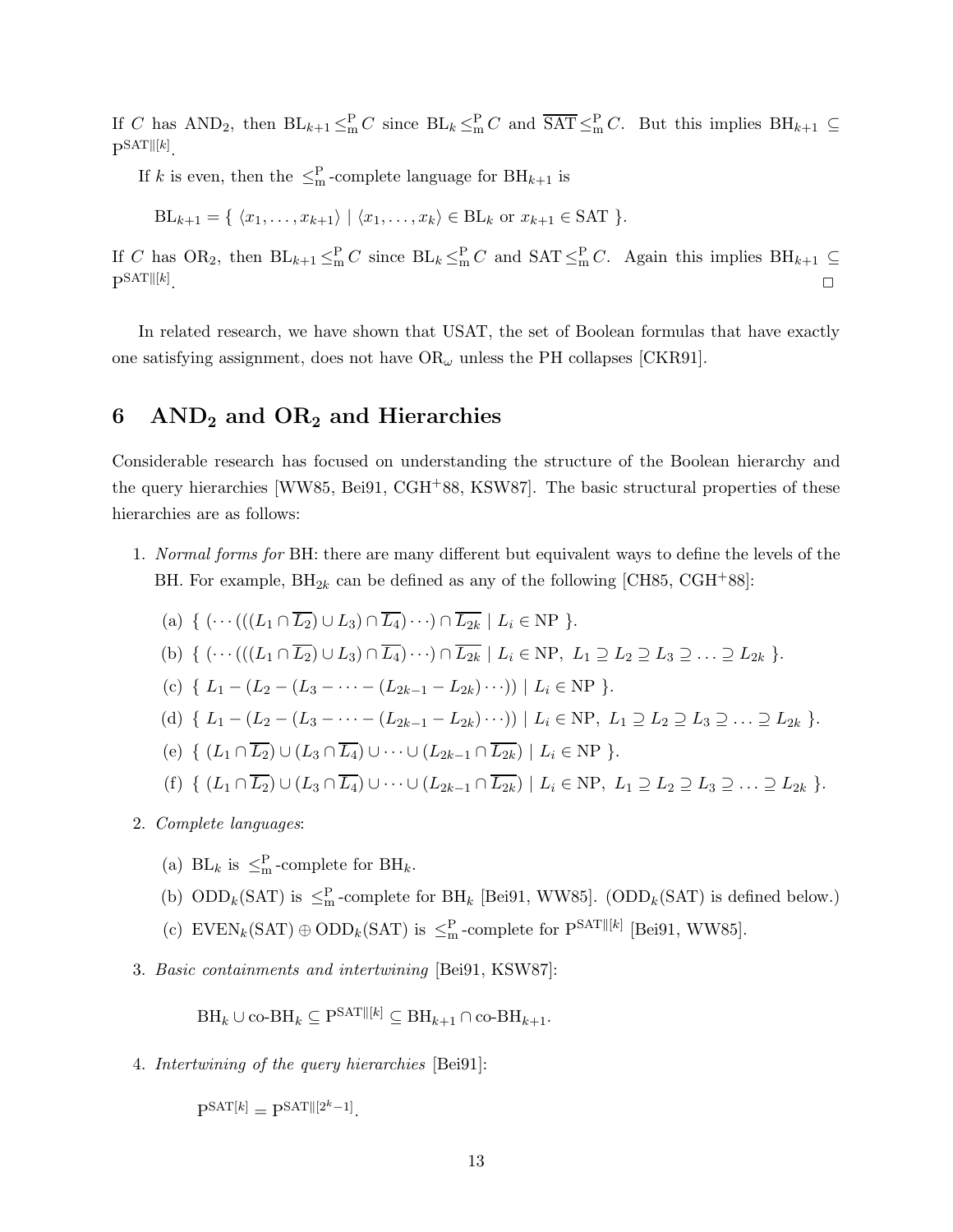If C has  $AND_2$ , then  $BL_{k+1} \leq^P_{m} C$  since  $BL_k \leq^P_{m} C$  and  $\overline{SAT} \leq^P_{m} C$ . But this implies  $BH_{k+1} \subseteq$  $\mathbb{P}^{\text{SAT} \| [k]}$ .

If k is even, then the  $\leq^P_m$ -complete language for  $BH_{k+1}$  is

$$
BL_{k+1} = \{ \langle x_1, \ldots, x_{k+1} \rangle \mid \langle x_1, \ldots, x_k \rangle \in BL_k \text{ or } x_{k+1} \in SAT \}.
$$

If C has OR<sub>2</sub>, then  $BL_{k+1} \leq m^P C$  since  $BL_k \leq m^P C$  and  $SAT \leq m^P C$ . Again this implies  $BH_{k+1} \subseteq$  $\mathrm{P}^{\mathrm{SAT} \parallel [k]}$ . ✷

In related research, we have shown that USAT, the set of Boolean formulas that have exactly one satisfying assignment, does not have  $OR_{\omega}$  unless the PH collapses [CKR91].

# 6  $AND_2$  and  $OR_2$  and Hierarchies

Considerable research has focused on understanding the structure of the Boolean hierarchy and the query hierarchies [WW85, Bei91, CGH+88, KSW87]. The basic structural properties of these hierarchies are as follows:

1. Normal forms for BH: there are many different but equivalent ways to define the levels of the BH. For example,  $BH_{2k}$  can be defined as any of the following [CH85, CGH<sup>+</sup>88]:

(a) 
$$
\{ (\cdots(((L_1 \cap \overline{L_2}) \cup L_3) \cap \overline{L_4}) \cdots) \cap \overline{L_{2k}} \mid L_i \in \text{NP } \}.
$$
  
\n(b)  $\{ (\cdots(((L_1 \cap \overline{L_2}) \cup L_3) \cap \overline{L_4}) \cdots) \cap \overline{L_{2k}} \mid L_i \in \text{NP}, L_1 \supseteq L_2 \supseteq L_3 \supseteq \cdots \supseteq L_{2k} \}.$   
\n(c)  $\{ L_1 - (L_2 - (L_3 - \cdots - (L_{2k-1} - L_{2k}) \cdots)) \mid L_i \in \text{NP } \}.$   
\n(d)  $\{ L_1 - (L_2 - (L_3 - \cdots - (L_{2k-1} - L_{2k}) \cdots)) \mid L_i \in \text{NP}, L_1 \supseteq L_2 \supseteq L_3 \supseteq \cdots \supseteq L_{2k} \}.$   
\n(e)  $\{ (L_1 \cap \overline{L_2}) \cup (L_3 \cap \overline{L_4}) \cup \cdots \cup (L_{2k-1} \cap \overline{L_{2k}}) \mid L_i \in \text{NP } \}.$   
\n(f)  $\{ (L_1 \cap \overline{L_2}) \cup (L_3 \cap \overline{L_4}) \cup \cdots \cup (L_{2k-1} \cap \overline{L_{2k}}) \mid L_i \in \text{NP}, L_1 \supseteq L_2 \supseteq L_3 \supseteq \cdots \supseteq L_{2k} \}.$ 

- 2. Complete languages:
	- (a) BL<sub>k</sub> is  $\leq^P_m$ -complete for BH<sub>k</sub>.
	- (b)  $\text{ODD}_k(\text{SAT})$  is  $\leq^P_m$ -complete for BH<sub>k</sub> [Bei91, WW85]. (ODD<sub>k</sub>(SAT) is defined below.)
	- (c)  $\text{EVEN}_k(\text{SAT}) \oplus \text{ODD}_k(\text{SAT})$  is  $\leq^P_m$ -complete for  $P^{\text{SAT}}[k]}$  [Bei91, WW85].
- 3. Basic containments and intertwining [Bei91, KSW87]:

 $\text{BH}_k \cup \text{co-BH}_k \subseteq \text{P}^{\text{SAT}[[k]} \subseteq \text{BH}_{k+1} \cap \text{co-BH}_{k+1}.$ 

4. Intertwining of the query hierarchies [Bei91]:

 $P^{SAT[k]} = P^{SAT||[2^k-1]}.$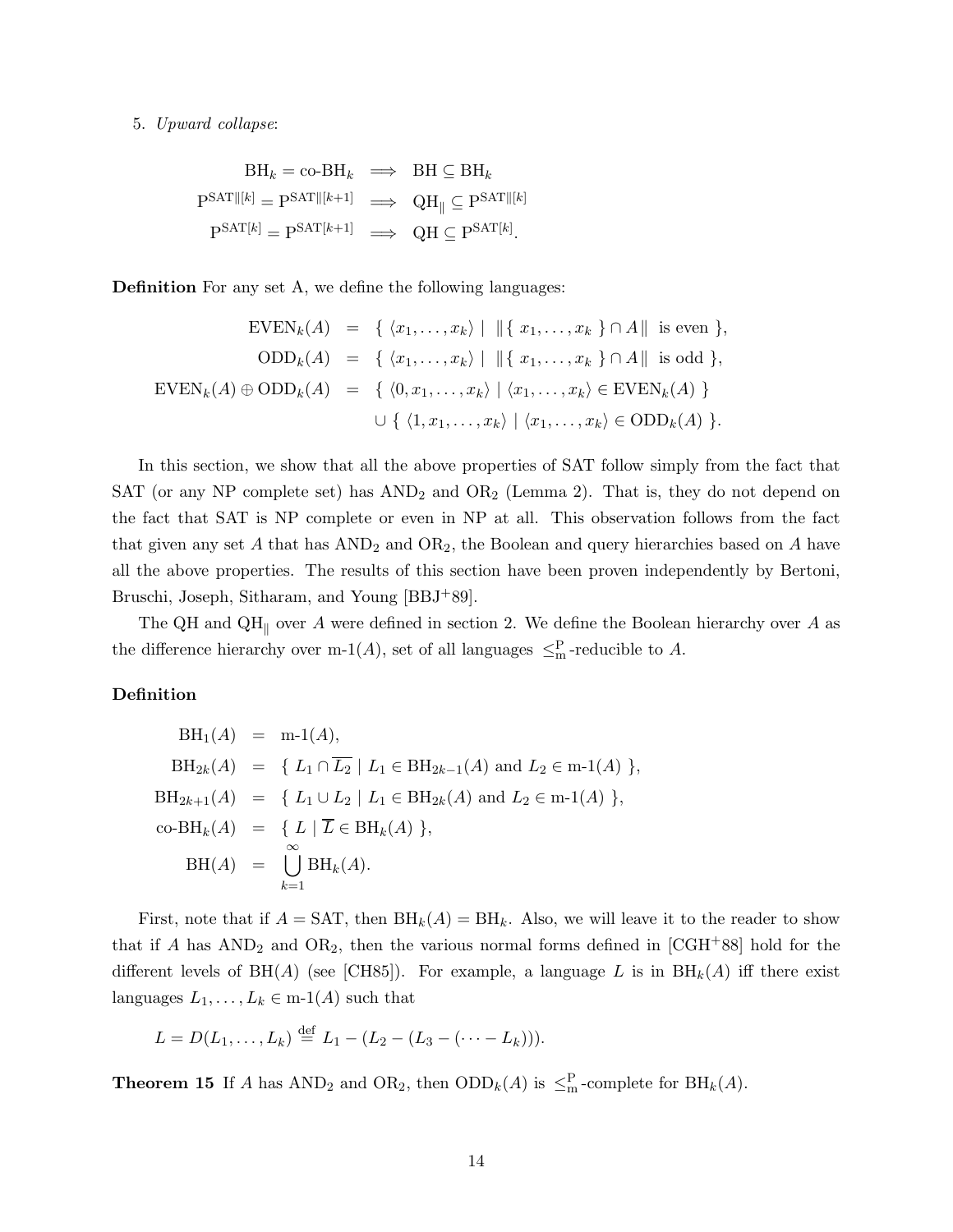### 5. Upward collapse:

$$
BH_k = \text{co-BH}_k \implies BH \subseteq BH_k
$$
  
\n
$$
P^{SAT||[k]} = P^{SAT||[k+1]} \implies QH_{||} \subseteq P^{SAT||[k]}
$$
  
\n
$$
P^{SAT[k]} = P^{SAT[k+1]} \implies QH \subseteq P^{SAT[k]}.
$$

Definition For any set A, we define the following languages:

$$
\text{EVEN}_k(A) = \{ \langle x_1, \dots, x_k \rangle \mid ||\{ x_1, \dots, x_k \} \cap A|| \text{ is even } \},
$$
  
\n
$$
\text{ODD}_k(A) = \{ \langle x_1, \dots, x_k \rangle \mid ||\{ x_1, \dots, x_k \} \cap A|| \text{ is odd } \},
$$
  
\n
$$
\text{EVEN}_k(A) \oplus \text{ODD}_k(A) = \{ \langle 0, x_1, \dots, x_k \rangle \mid \langle x_1, \dots, x_k \rangle \in \text{EVEN}_k(A) \}
$$
  
\n
$$
\cup \{ \langle 1, x_1, \dots, x_k \rangle \mid \langle x_1, \dots, x_k \rangle \in \text{ODD}_k(A) \}.
$$

In this section, we show that all the above properties of SAT follow simply from the fact that SAT (or any NP complete set) has  $AND_2$  and  $OR_2$  (Lemma 2). That is, they do not depend on the fact that SAT is NP complete or even in NP at all. This observation follows from the fact that given any set  $A$  that has  $AND<sub>2</sub>$  and  $OR<sub>2</sub>$ , the Boolean and query hierarchies based on  $A$  have all the above properties. The results of this section have been proven independently by Bertoni, Bruschi, Joseph, Sitharam, and Young [BBJ+89].

The QH and QH<sub>||</sub> over A were defined in section 2. We define the Boolean hierarchy over A as the difference hierarchy over m-1(A), set of all languages  $\leq^P_m$ -reducible to A.

## Definition

$$
BH_1(A) = m-1(A),
$$
  
\n
$$
BH_{2k}(A) = \{ L_1 \cap \overline{L_2} \mid L_1 \in BH_{2k-1}(A) \text{ and } L_2 \in m-1(A) \},
$$
  
\n
$$
BH_{2k+1}(A) = \{ L_1 \cup L_2 \mid L_1 \in BH_{2k}(A) \text{ and } L_2 \in m-1(A) \},
$$
  
\n
$$
co-BH_k(A) = \{ L \mid \overline{L} \in BH_k(A) \},
$$
  
\n
$$
BH(A) = \bigcup_{k=1}^{\infty} BH_k(A).
$$

First, note that if  $A = \text{SAT}$ , then  $\text{BH}_k(A) = \text{BH}_k$ . Also, we will leave it to the reader to show that if A has  $AND_2$  and  $OR_2$ , then the various normal forms defined in [CGH+88] hold for the different levels of BH(A) (see [CH85]). For example, a language L is in  $BH_k(A)$  iff there exist languages  $L_1, \ldots, L_k \in \text{m-1}(A)$  such that

$$
L = D(L_1, ..., L_k) \stackrel{\text{def}}{=} L_1 - (L_2 - (L_3 - (... - L_k))).
$$

**Theorem 15** If A has  $AND_2$  and  $OR_2$ , then  $ODD_k(A)$  is  $\leq^P_m$ -complete for  $BH_k(A)$ .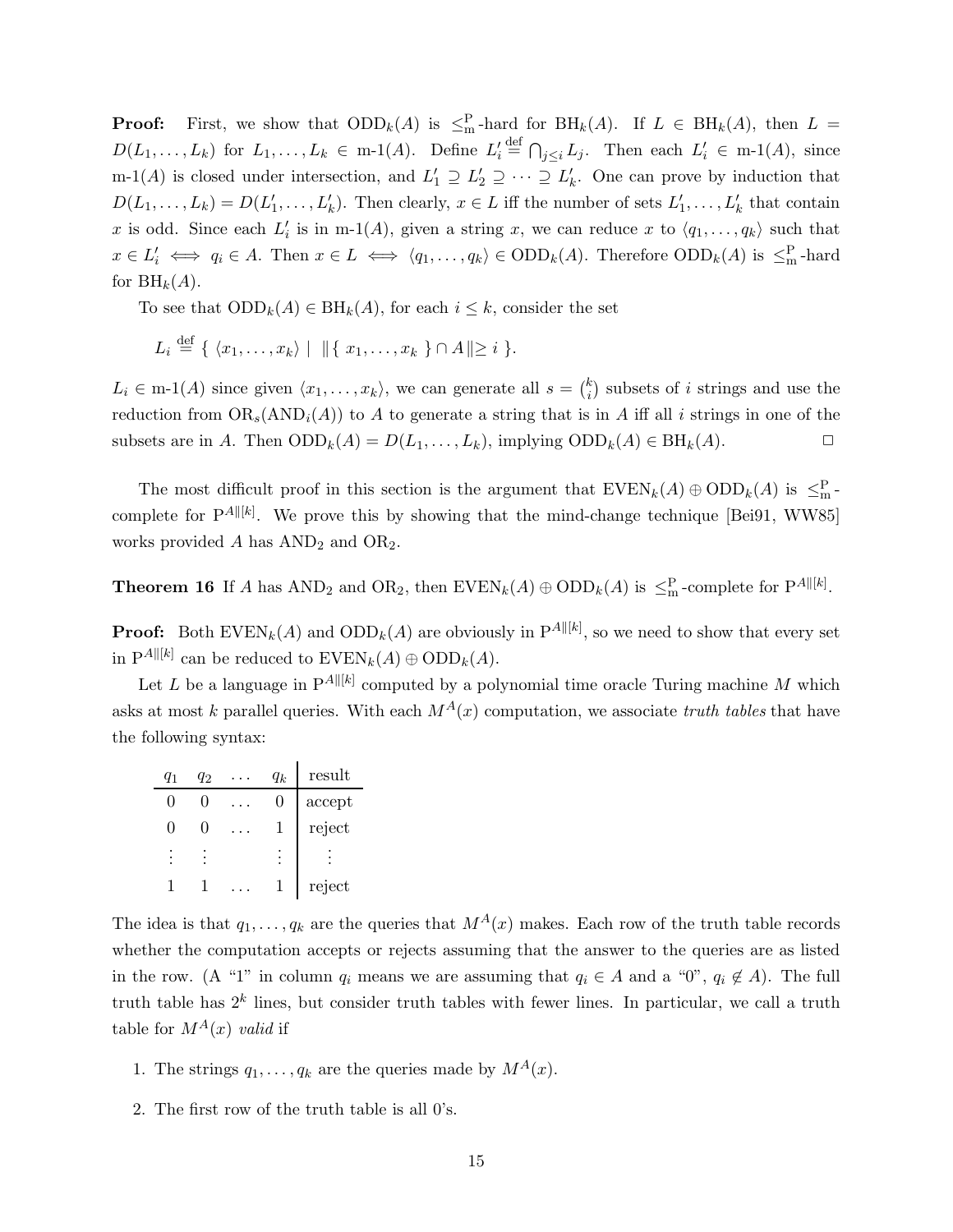**Proof:** First, we show that  $ODD_k(A)$  is  $\leq^P_m$ -hard for  $BH_k(A)$ . If  $L \in BH_k(A)$ , then  $L =$  $D(L_1,\ldots,L_k)$  for  $L_1,\ldots,L_k \in \mathbf{m}\text{-}1(A)$ . Define  $L_i' \triangleq \bigcap_{j\leq i} L_j$ . Then each  $L'_i \in \mathbf{m}\text{-}1(A)$ , since m-1(A) is closed under intersection, and  $L'_1 \supseteq L'_2 \supseteq \cdots \supseteq L'_k$ . One can prove by induction that  $D(L_1, \ldots, L_k) = D(L'_1, \ldots, L'_k)$ . Then clearly,  $x \in L$  iff the number of sets  $L'_1, \ldots, L'_k$  that contain x is odd. Since each  $L'_i$  is in m-1(A), given a string x, we can reduce x to  $\langle q_1, \ldots, q_k \rangle$  such that  $x \in L'_i \iff q_i \in A$ . Then  $x \in L \iff \langle q_1, \ldots, q_k \rangle \in ODD_k(A)$ . Therefore  $ODD_k(A)$  is  $\leq^P_m$ -hard for  $\mathrm{BH}_k(A)$ .

To see that  $\text{ODD}_k(A) \in \text{BH}_k(A)$ , for each  $i \leq k$ , consider the set

$$
L_i \stackrel{\text{def}}{=} \{ \langle x_1, \ldots, x_k \rangle \mid ||\{ x_1, \ldots, x_k \} \cap A|| \geq i \}.
$$

 $L_i \in \text{m-1}(A)$  since given  $\langle x_1, \ldots, x_k \rangle$ , we can generate all  $s = \binom{k}{i}$  $i$ ) subsets of *i* strings and use the reduction from  $OR_s(AND_i(A))$  to A to generate a string that is in A iff all i strings in one of the subsets are in A. Then  $\text{ODD}_k(A) = D(L_1, \ldots, L_k)$ , implying  $\text{ODD}_k(A) \in \text{BH}_k(A)$ .

The most difficult proof in this section is the argument that  $\text{EVEN}_k(A) \oplus \text{ODD}_k(A)$  is  $\leq^P_m$ complete for  $P^{A \parallel [k]}$ . We prove this by showing that the mind-change technique [Bei91, WW85] works provided  $A$  has  $AND<sub>2</sub>$  and  $OR<sub>2</sub>$ .

**Theorem 16** If A has  $AND_2$  and  $OR_2$ , then  $EVEN_k(A) \oplus ODD_k(A)$  is  $\leq^P_m$ -complete for  $P^{A \parallel [k]}$ .

**Proof:** Both  $\text{EVEN}_k(A)$  and  $\text{ODD}_k(A)$  are obviously in  $P^{A \parallel [k]}$ , so we need to show that every set in  $P^{A \parallel [k]}$  can be reduced to  $\text{EVEN}_k(A) \oplus \text{ODD}_k(A)$ .

Let L be a language in  $P^{A \parallel [k]}$  computed by a polynomial time oracle Turing machine M which asks at most k parallel queries. With each  $M^{A}(x)$  computation, we associate truth tables that have the following syntax:

| $q_1$        | q2           | $q_k$ | result |
|--------------|--------------|-------|--------|
| $\mathbf{0}$ | $\mathbf{0}$ | 0     | accept |
| $\mathbf{0}$ | O            | 1     | reject |
|              |              |       |        |
|              |              |       | reject |

The idea is that  $q_1, \ldots, q_k$  are the queries that  $M^A(x)$  makes. Each row of the truth table records whether the computation accepts or rejects assuming that the answer to the queries are as listed in the row. (A "1" in column  $q_i$  means we are assuming that  $q_i \in A$  and a "0",  $q_i \notin A$ ). The full truth table has  $2^k$  lines, but consider truth tables with fewer lines. In particular, we call a truth table for  $M^{A}(x)$  valid if

- 1. The strings  $q_1, \ldots, q_k$  are the queries made by  $M^A(x)$ .
- 2. The first row of the truth table is all 0's.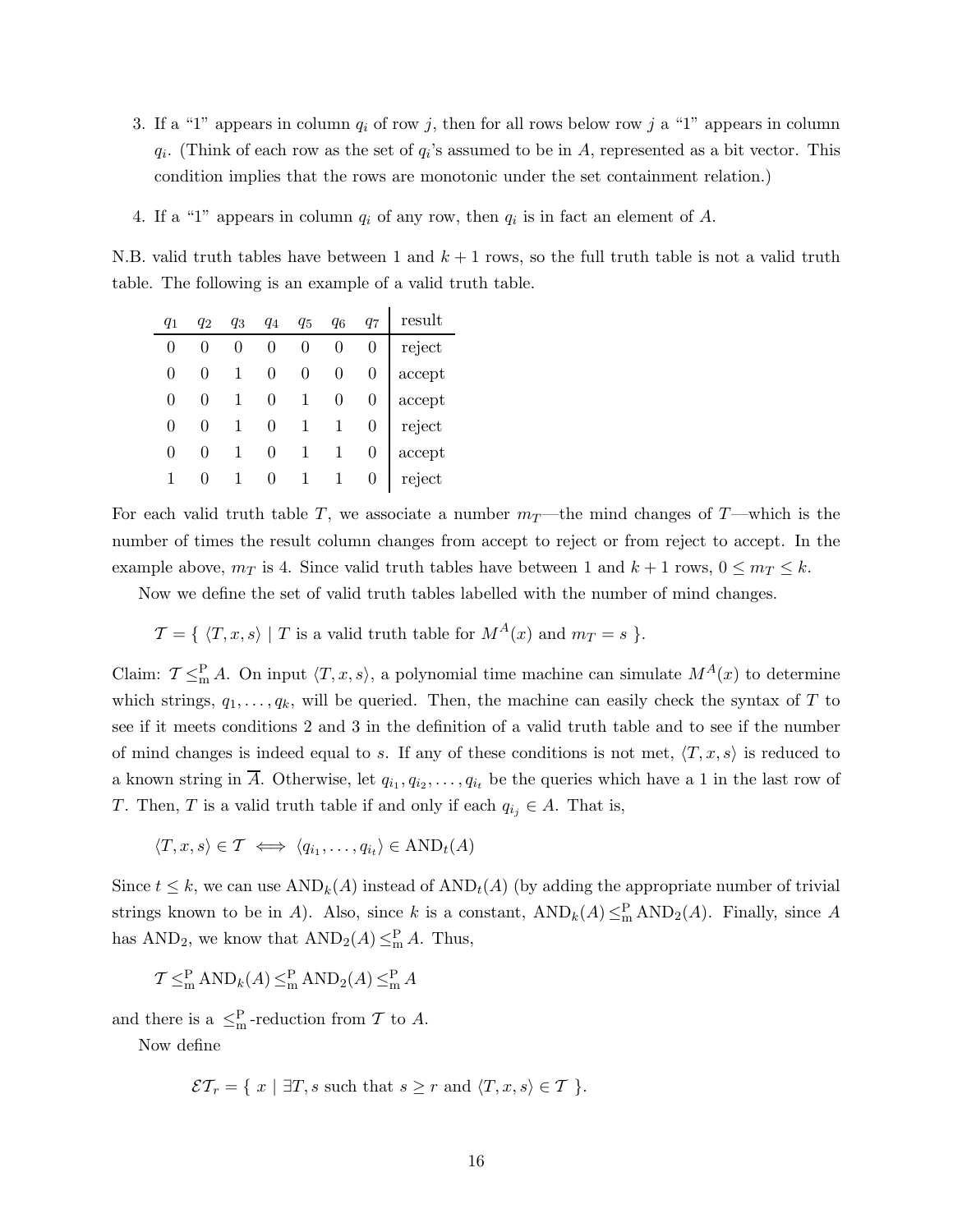- 3. If a "1" appears in column  $q_i$  of row j, then for all rows below row j a "1" appears in column  $q_i$ . (Think of each row as the set of  $q_i$ 's assumed to be in A, represented as a bit vector. This condition implies that the rows are monotonic under the set containment relation.)
- 4. If a "1" appears in column  $q_i$  of any row, then  $q_i$  is in fact an element of A.

N.B. valid truth tables have between 1 and  $k + 1$  rows, so the full truth table is not a valid truth table. The following is an example of a valid truth table.

|   | $q_2$ | q3           | $q_4$          | $q_5$            | q6               | $q_7$            | result                  |
|---|-------|--------------|----------------|------------------|------------------|------------------|-------------------------|
| 0 |       |              | $\overline{0}$ | $\boldsymbol{0}$ | $\boldsymbol{0}$ |                  | $\operatorname{reject}$ |
| 0 |       | $\mathbf{1}$ | $\overline{0}$ | $\overline{0}$   | $\overline{0}$   |                  | accept                  |
| 0 |       |              | $\overline{0}$ | $\mathbf{1}$     | $\overline{0}$   |                  | accept                  |
| 0 |       |              | $\overline{0}$ | $\mathbf{1}$     |                  | $\overline{0}$   | reject                  |
| 0 |       |              | $\overline{0}$ | $\mathbf{1}$     |                  | $\overline{0}$   | accept                  |
|   |       |              | $\overline{0}$ | $\mathbf{1}$     |                  | $\boldsymbol{0}$ | reject                  |

For each valid truth table T, we associate a number  $m_T$ —the mind changes of T—which is the number of times the result column changes from accept to reject or from reject to accept. In the example above,  $m_T$  is 4. Since valid truth tables have between 1 and  $k + 1$  rows,  $0 \leq m_T \leq k$ .

Now we define the set of valid truth tables labelled with the number of mind changes.

 $\mathcal{T} = \{ \langle T, x, s \rangle \mid T \text{ is a valid truth table for } M^A(x) \text{ and } m_T = s \}.$ 

Claim:  $\mathcal{T} \leq^P_m A$ . On input  $\langle T, x, s \rangle$ , a polynomial time machine can simulate  $M^A(x)$  to determine which strings,  $q_1, \ldots, q_k$ , will be queried. Then, the machine can easily check the syntax of T to see if it meets conditions 2 and 3 in the definition of a valid truth table and to see if the number of mind changes is indeed equal to s. If any of these conditions is not met,  $\langle T, x, s \rangle$  is reduced to a known string in A. Otherwise, let  $q_{i_1}, q_{i_2}, \ldots, q_{i_t}$  be the queries which have a 1 in the last row of T. Then, T is a valid truth table if and only if each  $q_{i_j} \in A$ . That is,

 $\langle T, x, s \rangle \in \mathcal{T} \iff \langle q_{i_1}, \dots, q_{i_t} \rangle \in \text{AND}_t(A)$ 

Since  $t \leq k$ , we can use  $AND_k(A)$  instead of  $AND_t(A)$  (by adding the appropriate number of trivial strings known to be in A). Also, since k is a constant,  $AND_k(A) \leq_m^P AND_2(A)$ . Finally, since A has  $AND_2$ , we know that  $AND_2(A) \leq^P_m A$ . Thus,

$$
\mathcal{T} \leq^{\mathcal{P}}_{\mathcal{m}} \mathcal{A} \mathcal{N} \mathcal{D}_{k}(A) \leq^{\mathcal{P}}_{\mathcal{m}} \mathcal{A} \mathcal{N} \mathcal{D}_{2}(A) \leq^{\mathcal{P}}_{\mathcal{m}} A
$$

and there is a  $\leq^P_m$ -reduction from T to A.

Now define

$$
\mathcal{ET}_r = \{ x \mid \exists T, s \text{ such that } s \geq r \text{ and } \langle T, x, s \rangle \in T \}.
$$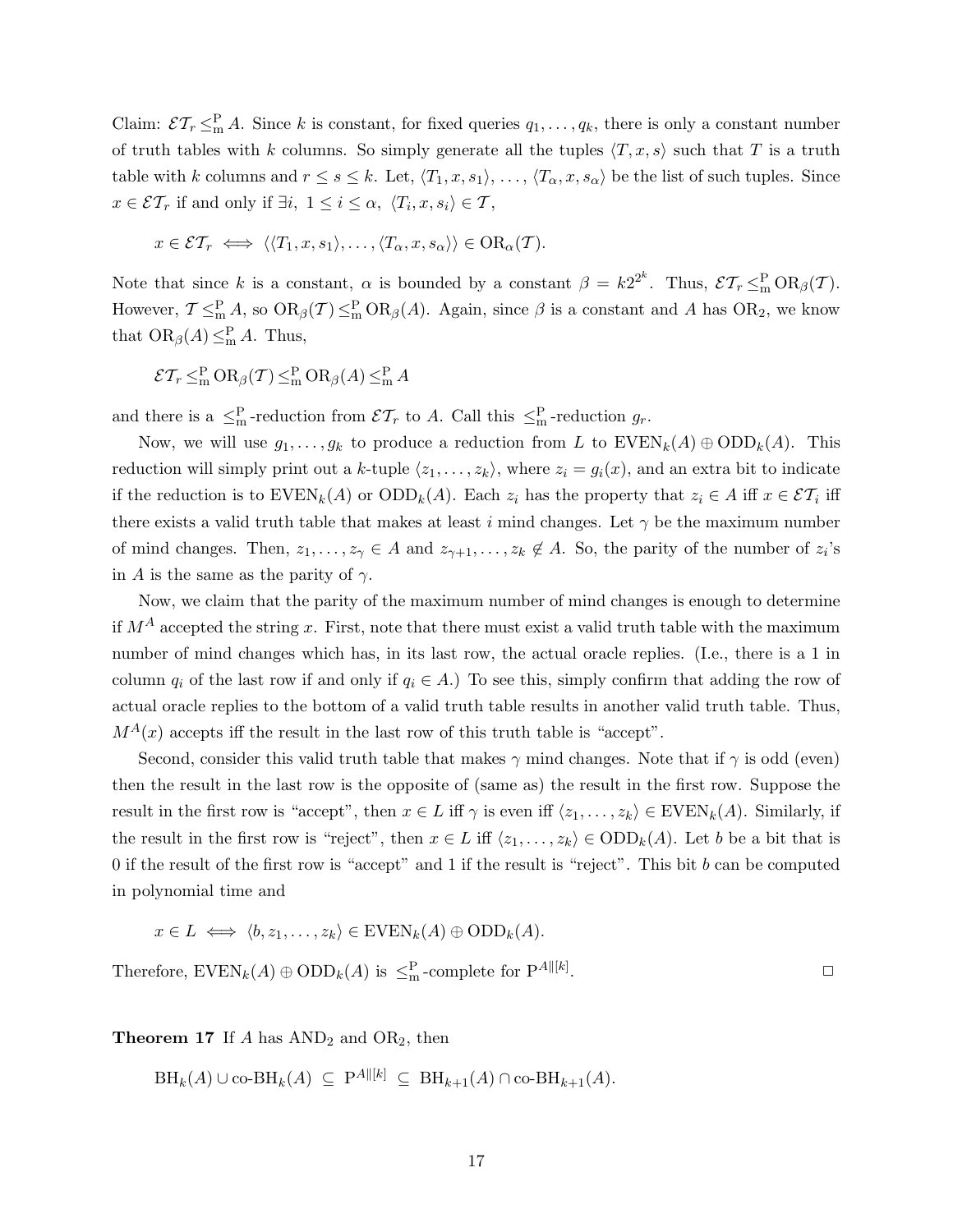Claim:  $\mathcal{ET}_r \leq^P_m A$ . Since k is constant, for fixed queries  $q_1, \ldots, q_k$ , there is only a constant number of truth tables with k columns. So simply generate all the tuples  $\langle T, x, s \rangle$  such that T is a truth table with k columns and  $r \leq s \leq k$ . Let,  $\langle T_1, x, s_1 \rangle, \ldots, \langle T_\alpha, x, s_\alpha \rangle$  be the list of such tuples. Since  $x \in \mathcal{ET}_r$  if and only if  $\exists i, 1 \leq i \leq \alpha, \ \langle T_i, x, s_i \rangle \in \mathcal{T}$ ,

$$
x \in \mathcal{ET}_r \iff \langle \langle T_1, x, s_1 \rangle, \dots, \langle T_\alpha, x, s_\alpha \rangle \rangle \in \mathrm{OR}_\alpha(\mathcal{T}).
$$

Note that since k is a constant,  $\alpha$  is bounded by a constant  $\beta = k2^{2^k}$ . Thus,  $\mathcal{ET}_r \leq^{\mathbb{P}}_m \text{OR}_{\beta}(\mathcal{T})$ . However,  $\mathcal{T} \leq^P_m A$ , so  $OR_\beta(\mathcal{T}) \leq^P_m OR_\beta(A)$ . Again, since  $\beta$  is a constant and A has  $OR_2$ , we know that  $OR_{\beta}(A) \leq^P_{m} A$ . Thus,

$$
\mathcal{ET}_r \leq^{\mathcal{P}}_{\mathcal{m}} \mathcal{O}(\mathcal{R}_\beta(\mathcal{T}) \leq^{\mathcal{P}}_{\mathcal{m}} \mathcal{O}(\mathcal{R}_\beta(A) \leq^{\mathcal{P}}_{\mathcal{m}} A
$$

and there is a  $\leq^P_m$ -reduction from  $\mathcal{E} \mathcal{T}_r$  to A. Call this  $\leq^P_m$ -reduction  $g_r$ .

Now, we will use  $g_1, \ldots, g_k$  to produce a reduction from L to  $\text{EVEN}_k(A) \oplus \text{ODD}_k(A)$ . This reduction will simply print out a k-tuple  $\langle z_1, \ldots, z_k \rangle$ , where  $z_i = g_i(x)$ , and an extra bit to indicate if the reduction is to  $\text{EVEN}_k(A)$  or  $\text{ODD}_k(A)$ . Each  $z_i$  has the property that  $z_i \in A$  iff  $x \in \mathcal{ET}_i$  iff there exists a valid truth table that makes at least i mind changes. Let  $\gamma$  be the maximum number of mind changes. Then,  $z_1, \ldots, z_{\gamma} \in A$  and  $z_{\gamma+1}, \ldots, z_k \notin A$ . So, the parity of the number of  $z_i$ 's in A is the same as the parity of  $\gamma$ .

Now, we claim that the parity of the maximum number of mind changes is enough to determine if  $M^A$  accepted the string x. First, note that there must exist a valid truth table with the maximum number of mind changes which has, in its last row, the actual oracle replies. (I.e., there is a 1 in column  $q_i$  of the last row if and only if  $q_i \in A$ .) To see this, simply confirm that adding the row of actual oracle replies to the bottom of a valid truth table results in another valid truth table. Thus,  $M^{A}(x)$  accepts iff the result in the last row of this truth table is "accept".

Second, consider this valid truth table that makes  $\gamma$  mind changes. Note that if  $\gamma$  is odd (even) then the result in the last row is the opposite of (same as) the result in the first row. Suppose the result in the first row is "accept", then  $x \in L$  iff  $\gamma$  is even iff  $\langle z_1, \ldots, z_k \rangle \in \text{EVEN}_k(A)$ . Similarly, if the result in the first row is "reject", then  $x \in L$  iff  $\langle z_1, \ldots, z_k \rangle \in ODD_k(A)$ . Let b be a bit that is 0 if the result of the first row is "accept" and 1 if the result is "reject". This bit b can be computed in polynomial time and

$$
x \in L \iff \langle b, z_1, \dots, z_k \rangle \in \text{EVEN}_k(A) \oplus \text{ODD}_k(A).
$$

Therefore,  $\text{EVEN}_k(A) \oplus \text{ODD}_k(A)$  is  $\leq^{\text{P}}_{\text{m}}$ -complete for  $\text{P}^{A \parallel [k]}$ .  $\Box$ 

**Theorem 17** If A has  $AND_2$  and  $OR_2$ , then

 $\text{BH}_k(A) \cup \text{co-BH}_k(A) \subseteq \text{P}^{A \parallel [k]} \subseteq \text{BH}_{k+1}(A) \cap \text{co-BH}_{k+1}(A).$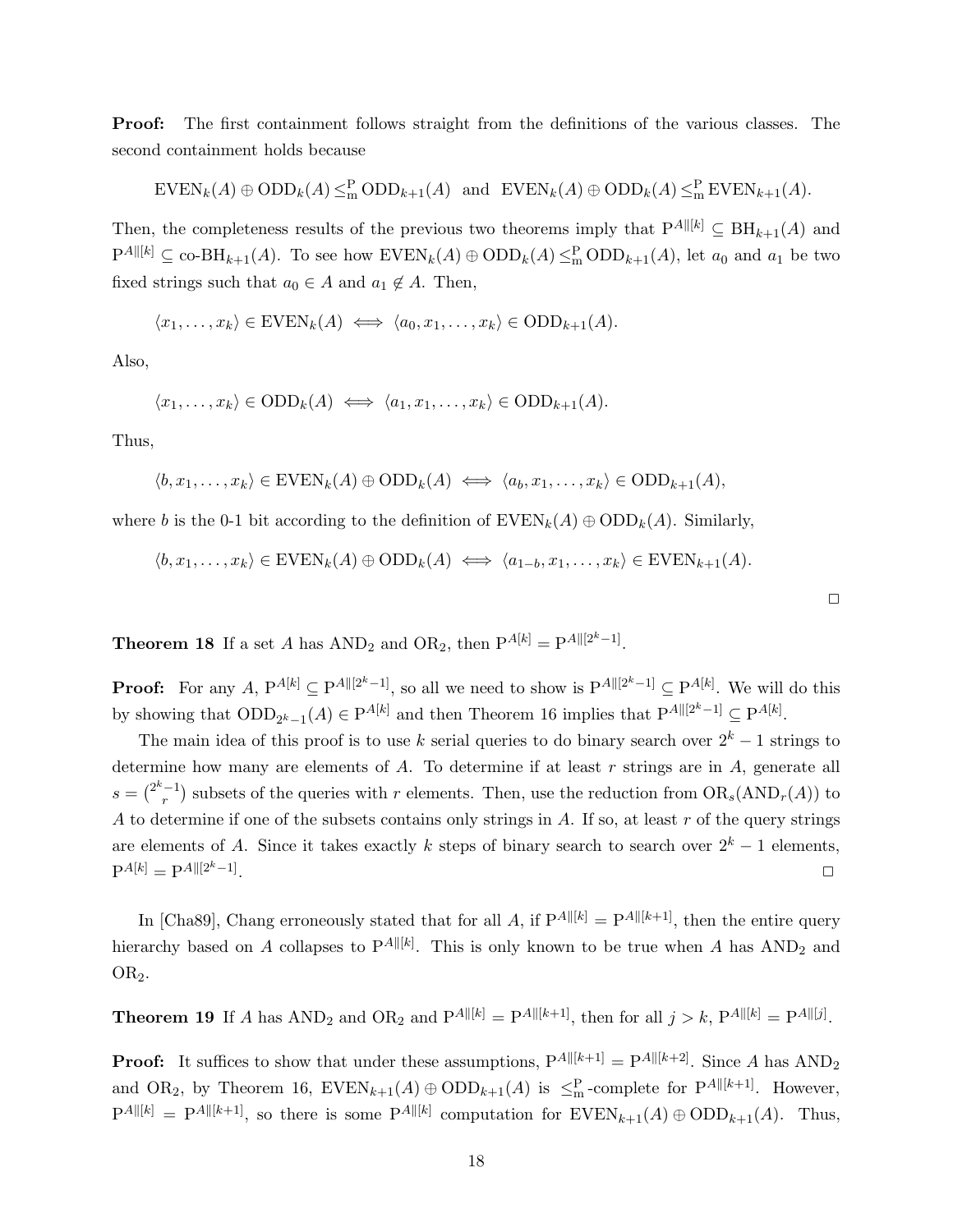Proof: The first containment follows straight from the definitions of the various classes. The second containment holds because

$$
EVEN_k(A) \oplus \text{ODD}_k(A) \leq_m^P \text{ODD}_{k+1}(A) \text{ and } EVEN_k(A) \oplus \text{ODD}_k(A) \leq_m^P EVEN_{k+1}(A).
$$

Then, the completeness results of the previous two theorems imply that  $P^{A\parallel [k]} \subseteq BH_{k+1}(A)$  and  $P^{A\|[k]} \subseteq \text{co-BH}_{k+1}(A)$ . To see how  $\text{EVEN}_k(A) \oplus \text{ODD}_k(A) \leq_m^P \text{ODD}_{k+1}(A)$ , let  $a_0$  and  $a_1$  be two fixed strings such that  $a_0 \in A$  and  $a_1 \notin A$ . Then,

$$
\langle x_1, \ldots, x_k \rangle \in \text{EVEN}_k(A) \iff \langle a_0, x_1, \ldots, x_k \rangle \in \text{ODD}_{k+1}(A).
$$

Also,

$$
\langle x_1, \ldots, x_k \rangle \in ODD_k(A) \iff \langle a_1, x_1, \ldots, x_k \rangle \in ODD_{k+1}(A).
$$

Thus,

$$
\langle b, x_1, \ldots, x_k \rangle \in \text{EVEN}_k(A) \oplus \text{ODD}_k(A) \iff \langle a_b, x_1, \ldots, x_k \rangle \in \text{ODD}_{k+1}(A),
$$

where b is the 0-1 bit according to the definition of  $\text{EVEN}_k(A) \oplus \text{ODD}_k(A)$ . Similarly,

$$
\langle b, x_1, \ldots, x_k \rangle \in \text{EVEN}_k(A) \oplus \text{ODD}_k(A) \iff \langle a_{1-b}, x_1, \ldots, x_k \rangle \in \text{EVEN}_{k+1}(A).
$$

**Theorem 18** If a set A has  $AND_2$  and  $OR_2$ , then  $P^{A[k]} = P^{A[[2^k-1]}.$ 

**Proof:** For any  $A$ ,  $P^{A[k]} \subseteq P^{A \parallel [2^k-1]}$ , so all we need to show is  $P^{A \parallel [2^k-1]} \subseteq P^{A[k]}$ . We will do this by showing that  $\text{ODD}_{2^k-1}(A) \in \text{P}^{A[k]}$  and then Theorem 16 implies that  $\text{P}^{A\parallel [2^k-1]} \subseteq \text{P}^{A[k]}$ .

The main idea of this proof is to use k serial queries to do binary search over  $2^k - 1$  strings to determine how many are elements of  $A$ . To determine if at least  $r$  strings are in  $A$ , generate all  $s = \binom{2^k-1}{r}$  $r^{(-1)}$  subsets of the queries with r elements. Then, use the reduction from  $OR_s(AND_r(A))$  to A to determine if one of the subsets contains only strings in A. If so, at least  $r$  of the query strings are elements of A. Since it takes exactly k steps of binary search to search over  $2^k - 1$  elements,  $P^{A[k]} = P^{A||[2^k-1]}$ . ✷

In [Cha89], Chang erroneously stated that for all A, if  $P^{A \parallel [k]} = P^{A \parallel [k+1]}$ , then the entire query hierarchy based on A collapses to  $P^{A \parallel [k]}$ . This is only known to be true when A has  $AND_2$  and OR<sub>2</sub>.

**Theorem 19** If A has  $AND_2$  and  $OR_2$  and  $P^{A \parallel [k]} = P^{A \parallel [k+1]}$ , then for all  $j > k$ ,  $P^{A \parallel [k]} = P^{A \parallel [j]}$ .

**Proof:** It suffices to show that under these assumptions,  $P^{A \parallel [k+1]} = P^{A \parallel [k+2]}$ . Since A has  $AND_2$ and OR<sub>2</sub>, by Theorem 16,  $\text{EVEN}_{k+1}(A) \oplus \text{ODD}_{k+1}(A)$  is  $\leq^P_{m}$ -complete for  $P^{A \parallel [k+1]}$ . However,  $P^{A\|[k]} = P^{A\|[k+1]}$ , so there is some  $P^{A\|[k]}$  computation for  $EVEN_{k+1}(A) \oplus ODD_{k+1}(A)$ . Thus,

 $\Box$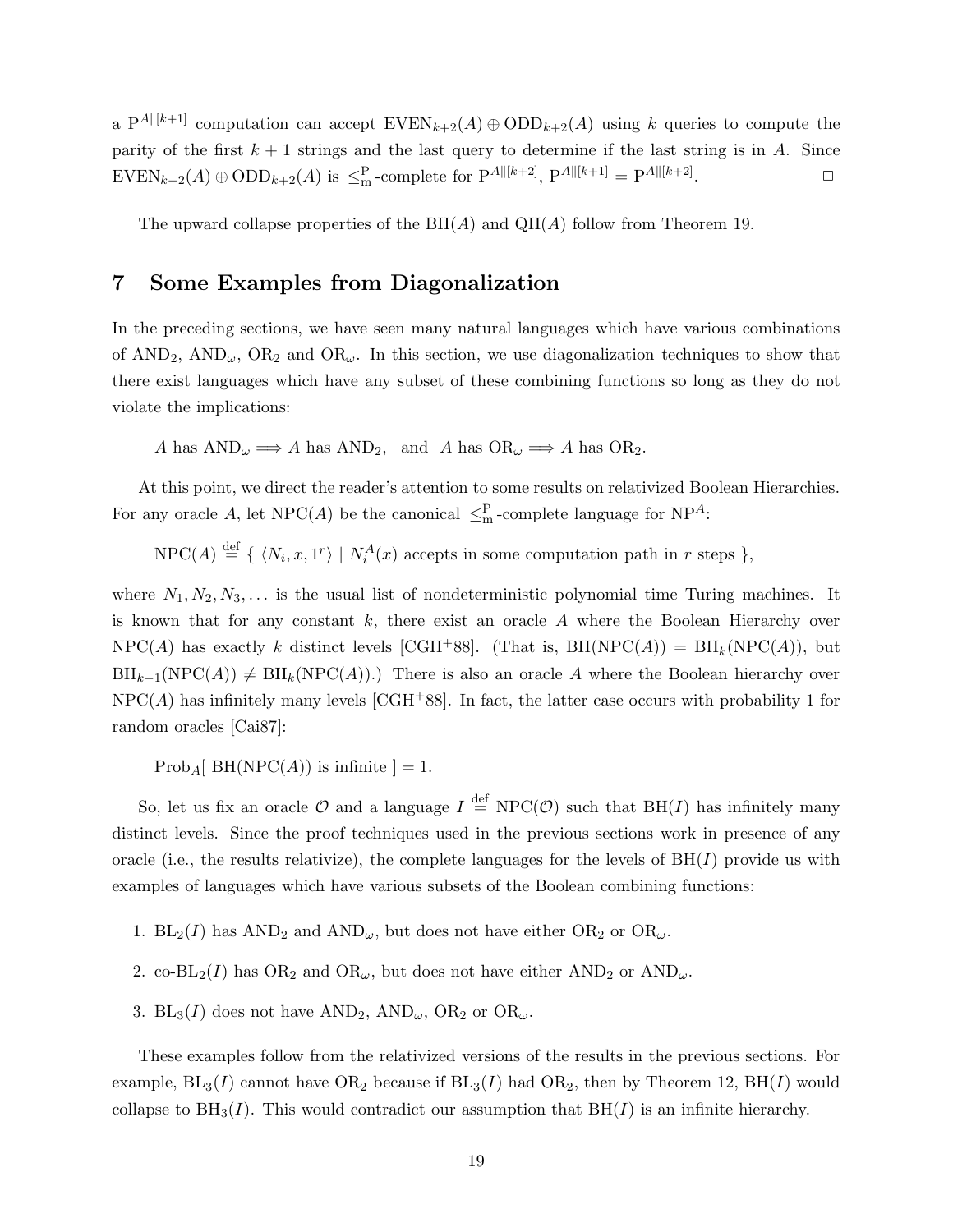a P<sup>A||[k+1]</sup> computation can accept  $\text{EVEN}_{k+2}(A) \oplus \text{ODD}_{k+2}(A)$  using k queries to compute the parity of the first  $k + 1$  strings and the last query to determine if the last string is in A. Since  $\text{EVEN}_{k+2}(A) \oplus \text{ODD}_{k+2}(A)$  is  $\leq^{\text{P}}_{\text{m}}$ -complete for  $P^{A \parallel [k+2]}$ ,  $P^{A \parallel [k+1]} = P^{A \parallel [k+2]}$ .  $\Box$ 

The upward collapse properties of the  $BH(A)$  and  $QH(A)$  follow from Theorem 19.

# 7 Some Examples from Diagonalization

In the preceding sections, we have seen many natural languages which have various combinations of AND<sub>2</sub>, AND<sub>ω</sub>, OR<sub>2</sub> and OR<sub>ω</sub>. In this section, we use diagonalization techniques to show that there exist languages which have any subset of these combining functions so long as they do not violate the implications:

A has  $AND_{\omega} \Longrightarrow A$  has  $AND_{2}$ , and A has  $OR_{\omega} \Longrightarrow A$  has  $OR_{2}$ .

At this point, we direct the reader's attention to some results on relativized Boolean Hierarchies. For any oracle A, let  $NPC(A)$  be the canonical  $\leq^P_m$ -complete language for  $NP^A$ :

 $NPC(A) \stackrel{\text{def}}{=} {\{N_i, x, 1^r\} | N_i^A(x) \text{ accepts in some computation path in } r \text{ steps }\},$ 

where  $N_1, N_2, N_3, \ldots$  is the usual list of nondeterministic polynomial time Turing machines. It is known that for any constant  $k$ , there exist an oracle  $A$  where the Boolean Hierarchy over  $NPC(A)$  has exactly k distinct levels [CGH<sup>+</sup>88]. (That is, BH(NPC(A)) = BH<sub>k</sub>(NPC(A)), but  $BH_{k-1}(NPC(A)) \neq BH_k(NPC(A)).$  There is also an oracle A where the Boolean hierarchy over  $NPC(A)$  has infinitely many levels [CGH<sup>+88]</sup>. In fact, the latter case occurs with probability 1 for random oracles [Cai87]:

Prob<sub>A</sub>[ BH(NPC(A)) is infinite  $] = 1$ .

So, let us fix an oracle  $\mathcal O$  and a language  $I \stackrel{\text{def}}{=} \text{NPC}(\mathcal O)$  such that  $\text{BH}(I)$  has infinitely many distinct levels. Since the proof techniques used in the previous sections work in presence of any oracle (i.e., the results relativize), the complete languages for the levels of  $BH(I)$  provide us with examples of languages which have various subsets of the Boolean combining functions:

- 1.  $BL_2(I)$  has  $AND_2$  and  $AND_\omega$ , but does not have either  $OR_2$  or  $OR_\omega$ .
- 2. co-BL<sub>2</sub>(I) has OR<sub>2</sub> and OR<sub> $\omega$ </sub>, but does not have either AND<sub>2</sub> or AND<sub> $\omega$ </sub>.
- 3. BL<sub>3</sub>(I) does not have AND<sub>2</sub>, AND<sub> $\omega$ </sub>, OR<sub>2</sub> or OR<sub> $\omega$ </sub>.

These examples follow from the relativized versions of the results in the previous sections. For example,  $BL_3(I)$  cannot have  $OR_2$  because if  $BL_3(I)$  had  $OR_2$ , then by Theorem 12,  $BH(I)$  would collapse to  $\text{BH}_3(I)$ . This would contradict our assumption that  $\text{BH}(I)$  is an infinite hierarchy.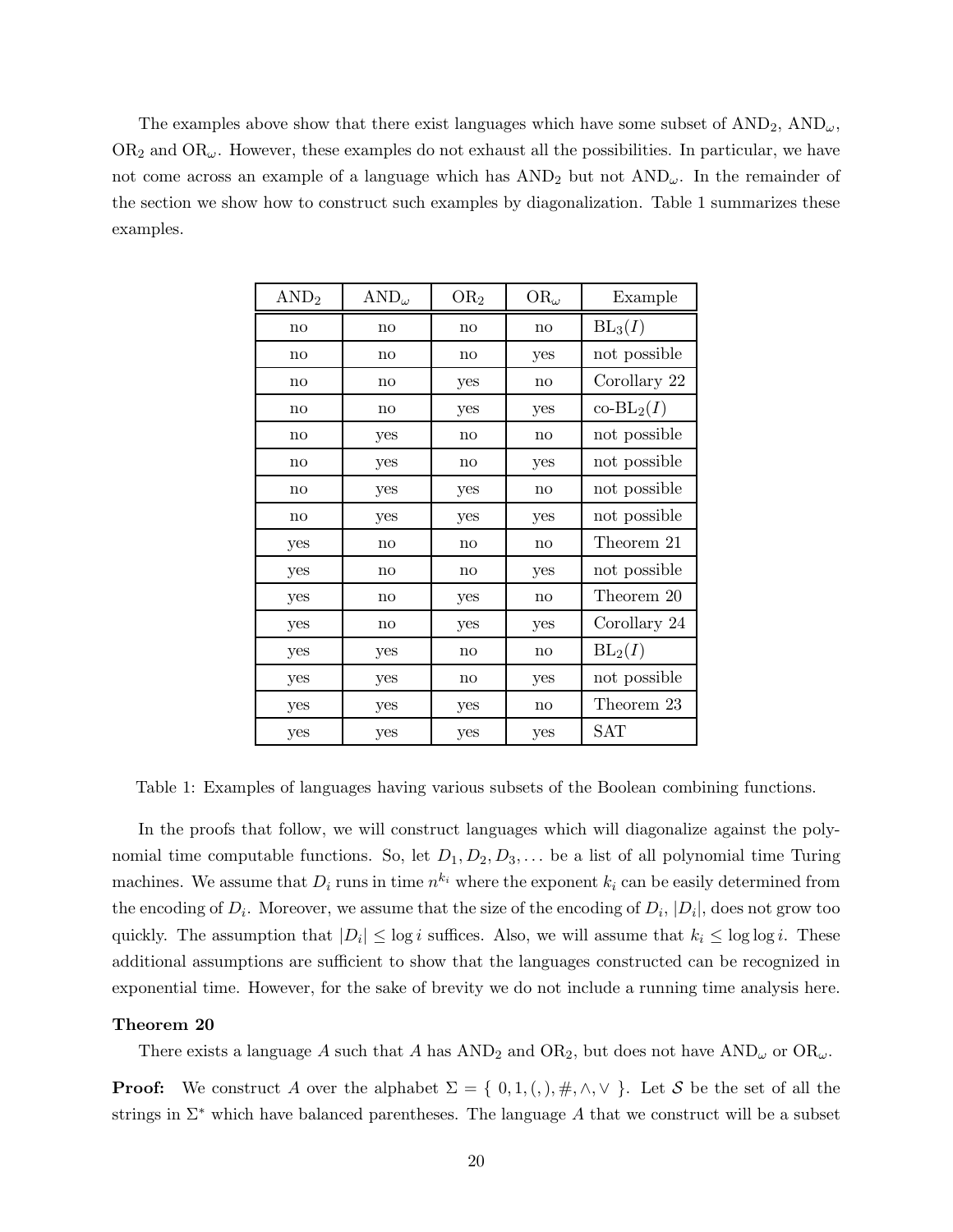The examples above show that there exist languages which have some subset of  $AND_2$ ,  $AND_{\omega}$ ,  $OR<sub>2</sub>$  and  $OR<sub>\omega</sub>$ . However, these examples do not exhaust all the possibilities. In particular, we have not come across an example of a language which has  $AND_2$  but not  $AND_{\omega}$ . In the remainder of the section we show how to construct such examples by diagonalization. Table 1 summarizes these examples.

| AND <sub>2</sub>       | $AND_{\omega}$ | OR <sub>2</sub>        | $OR_{\omega}$ | Example             |
|------------------------|----------------|------------------------|---------------|---------------------|
| no                     | no             | no                     | no            | $BL_3(I)$           |
| no                     | no             | $\mathbf{n}\mathbf{o}$ | yes           | not possible        |
| $\mathbf{n}\mathbf{o}$ | no             | yes                    | no            | Corollary 22        |
| $\mathbf{n}\mathbf{o}$ | no             | yes                    | yes           | $\text{co-BL}_2(I)$ |
| no                     | yes            | no                     | no            | not possible        |
| no                     | yes            | no                     | yes           | not possible        |
| no                     | yes            | yes                    | no            | not possible        |
| no                     | yes            | yes                    | yes           | not possible        |
| yes                    | no             | no                     | no            | Theorem 21          |
| yes                    | no             | no                     | yes           | not possible        |
| yes                    | no             | yes                    | no            | Theorem 20          |
| yes                    | no             | yes                    | yes           | Corollary 24        |
| yes                    | yes            | no                     | no            | $BL_2(I)$           |
| yes                    | yes            | no                     | yes           | not possible        |
| yes                    | yes            | yes                    | no            | Theorem 23          |
| yes                    | yes            | yes                    | yes           | <b>SAT</b>          |

Table 1: Examples of languages having various subsets of the Boolean combining functions.

In the proofs that follow, we will construct languages which will diagonalize against the polynomial time computable functions. So, let  $D_1, D_2, D_3, \ldots$  be a list of all polynomial time Turing machines. We assume that  $D_i$  runs in time  $n^{k_i}$  where the exponent  $k_i$  can be easily determined from the encoding of  $D_i$ . Moreover, we assume that the size of the encoding of  $D_i$ ,  $|D_i|$ , does not grow too quickly. The assumption that  $|D_i| \leq \log i$  suffices. Also, we will assume that  $k_i \leq \log \log i$ . These additional assumptions are sufficient to show that the languages constructed can be recognized in exponential time. However, for the sake of brevity we do not include a running time analysis here.

### Theorem 20

There exists a language A such that A has  $AND_2$  and  $OR_2$ , but does not have  $AND_\omega$  or  $OR_\omega$ .

**Proof:** We construct A over the alphabet  $\Sigma = \{0, 1, (0), \#, \wedge, \vee\}$ . Let S be the set of all the strings in  $\Sigma^*$  which have balanced parentheses. The language A that we construct will be a subset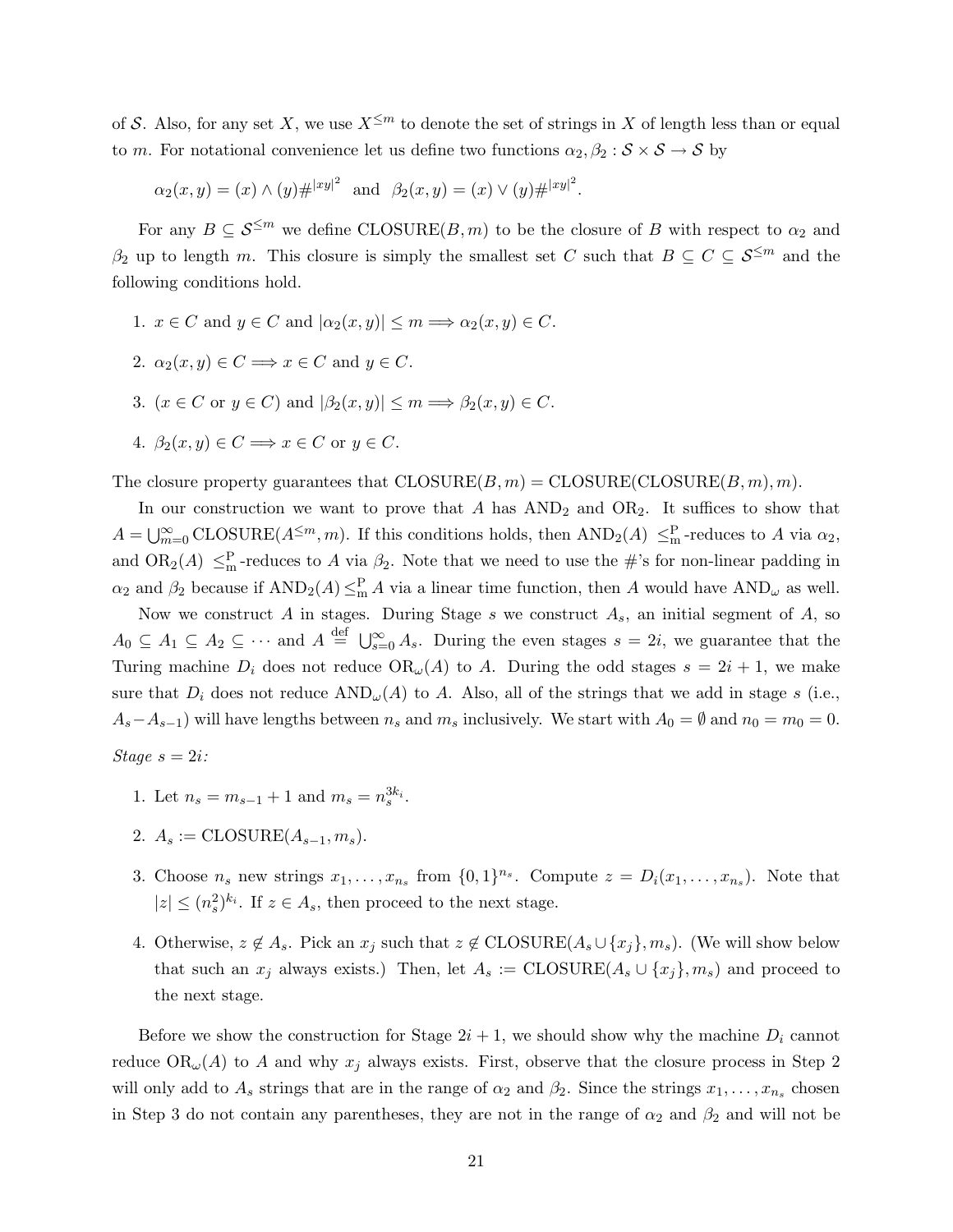of S. Also, for any set X, we use  $X^{\leq m}$  to denote the set of strings in X of length less than or equal to m. For notational convenience let us define two functions  $\alpha_2, \beta_2 : \mathcal{S} \times \mathcal{S} \to \mathcal{S}$  by

$$
\alpha_2(x, y) = (x) \wedge (y) \# |xy|^2
$$
 and  $\beta_2(x, y) = (x) \vee (y) \# |xy|^2$ .

For any  $B \subseteq \mathcal{S}^{\leq m}$  we define CLOSURE(B, m) to be the closure of B with respect to  $\alpha_2$  and  $\beta_2$  up to length m. This closure is simply the smallest set C such that  $B \subseteq C \subseteq \mathcal{S}^{\leq m}$  and the following conditions hold.

- 1.  $x \in C$  and  $y \in C$  and  $|\alpha_2(x, y)| \le m \Longrightarrow \alpha_2(x, y) \in C$ .
- 2.  $\alpha_2(x, y) \in C \Longrightarrow x \in C$  and  $y \in C$ .
- 3.  $(x \in C \text{ or } y \in C)$  and  $|\beta_2(x, y)| \leq m \Longrightarrow \beta_2(x, y) \in C$ .
- 4.  $\beta_2(x, y) \in C \Longrightarrow x \in C$  or  $y \in C$ .

The closure property guarantees that  $CLOSURE(B, m) = CLOSURE(CLOSURE(B, m), m)$ .

In our construction we want to prove that  $A$  has  $AND_2$  and  $OR_2$ . It suffices to show that  $A=\bigcup_{m=0}^{\infty} \text{CLOSURE}(A^{\leq m},m)$ . If this conditions holds, then  $\text{AND}_2(A) \leq_m^{\text{P}}$ -reduces to A via  $\alpha_2$ , and  $OR_2(A) \leq_m^P$ -reduces to A via  $\beta_2$ . Note that we need to use the #'s for non-linear padding in  $\alpha_2$  and  $\beta_2$  because if  $AND_2(A) \leq^P_{m} A$  via a linear time function, then A would have  $AND_{\omega}$  as well.

Now we construct A in stages. During Stage s we construct  $A_s$ , an initial segment of A, so  $A_0 \subseteq A_1 \subseteq A_2 \subseteq \cdots$  and  $A \stackrel{\text{def}}{=} \bigcup_{s=0}^{\infty} A_s$ . During the even stages  $s = 2i$ , we guarantee that the Turing machine  $D_i$  does not reduce  $OR_{\omega}(A)$  to A. During the odd stages  $s = 2i + 1$ , we make sure that  $D_i$  does not reduce  $AND_\omega(A)$  to A. Also, all of the strings that we add in stage s (i.e.,  $A_s - A_{s-1}$ ) will have lengths between  $n_s$  and  $m_s$  inclusively. We start with  $A_0 = \emptyset$  and  $n_0 = m_0 = 0$ .

$$
Stage \; s = 2i:
$$

- 1. Let  $n_s = m_{s-1} + 1$  and  $m_s = n_s^{3k_i}$ .
- 2.  $A_s := \text{CLOSURE}(A_{s-1}, m_s).$
- 3. Choose  $n_s$  new strings  $x_1, \ldots, x_{n_s}$  from  $\{0,1\}^{n_s}$ . Compute  $z = D_i(x_1, \ldots, x_{n_s})$ . Note that  $|z| \leq (n_s^2)^{k_i}$ . If  $z \in A_s$ , then proceed to the next stage.
- 4. Otherwise,  $z \notin A_s$ . Pick an  $x_j$  such that  $z \notin \text{CLOSURE}(A_s \cup \{x_j\}, m_s)$ . (We will show below that such an  $x_j$  always exists.) Then, let  $A_s := \text{CLOSURE}(A_s \cup \{x_j\}, m_s)$  and proceed to the next stage.

Before we show the construction for Stage  $2i + 1$ , we should show why the machine  $D_i$  cannot reduce  $OR_{\omega}(A)$  to A and why  $x_j$  always exists. First, observe that the closure process in Step 2 will only add to  $A_s$  strings that are in the range of  $\alpha_2$  and  $\beta_2$ . Since the strings  $x_1, \ldots, x_{n_s}$  chosen in Step 3 do not contain any parentheses, they are not in the range of  $\alpha_2$  and  $\beta_2$  and will not be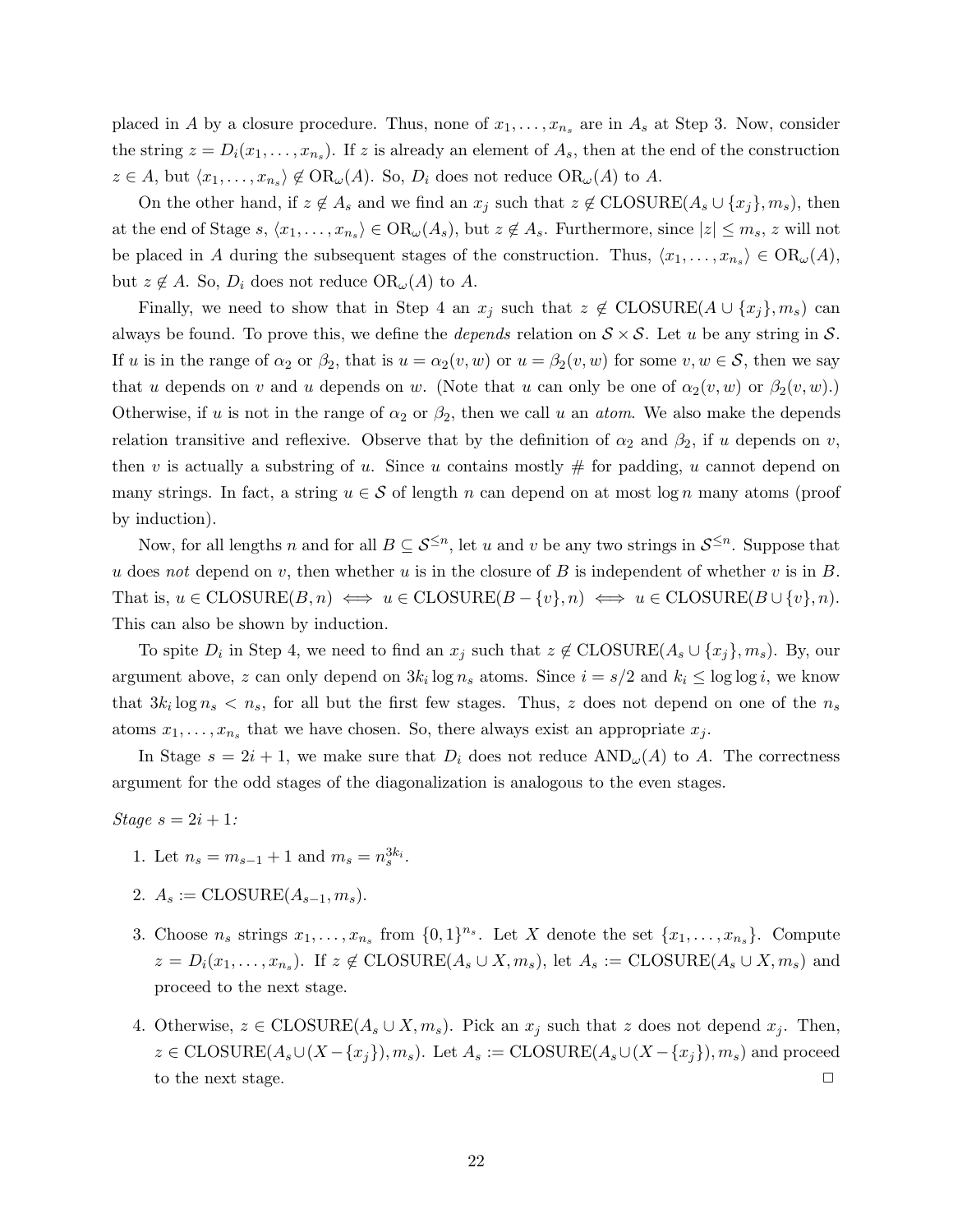placed in A by a closure procedure. Thus, none of  $x_1, \ldots, x_{n_s}$  are in  $A_s$  at Step 3. Now, consider the string  $z = D_i(x_1, \ldots, x_{n_s})$ . If z is already an element of  $A_s$ , then at the end of the construction  $z \in A$ , but  $\langle x_1, \ldots, x_{n_s} \rangle \notin \mathrm{OR}_{\omega}(A)$ . So,  $D_i$  does not reduce  $\mathrm{OR}_{\omega}(A)$  to  $A$ .

On the other hand, if  $z \notin A_s$  and we find an  $x_j$  such that  $z \notin \text{CLOSURE}(A_s \cup \{x_j\}, m_s)$ , then at the end of Stage  $s, \langle x_1, \ldots, x_{n_s} \rangle \in \mathrm{OR}_{\omega}(A_s)$ , but  $z \notin A_s$ . Furthermore, since  $|z| \leq m_s$ , z will not be placed in A during the subsequent stages of the construction. Thus,  $\langle x_1, \ldots, x_{n_s} \rangle \in OR_\omega(A)$ , but  $z \notin A$ . So,  $D_i$  does not reduce  $OR_{\omega}(A)$  to A.

Finally, we need to show that in Step 4 an  $x_j$  such that  $z \notin \text{CLOSURE}(A \cup \{x_j\}, m_s)$  can always be found. To prove this, we define the *depends* relation on  $S \times S$ . Let u be any string in S. If u is in the range of  $\alpha_2$  or  $\beta_2$ , that is  $u = \alpha_2(v, w)$  or  $u = \beta_2(v, w)$  for some  $v, w \in \mathcal{S}$ , then we say that u depends on v and u depends on w. (Note that u can only be one of  $\alpha_2(v, w)$  or  $\beta_2(v, w)$ .) Otherwise, if u is not in the range of  $\alpha_2$  or  $\beta_2$ , then we call u an *atom*. We also make the depends relation transitive and reflexive. Observe that by the definition of  $\alpha_2$  and  $\beta_2$ , if u depends on v, then v is actually a substring of u. Since u contains mostly  $#$  for padding, u cannot depend on many strings. In fact, a string  $u \in \mathcal{S}$  of length n can depend on at most log n many atoms (proof by induction).

Now, for all lengths n and for all  $B \subseteq \mathcal{S}^{\leq n}$ , let u and v be any two strings in  $\mathcal{S}^{\leq n}$ . Suppose that u does not depend on v, then whether u is in the closure of B is independent of whether v is in B. That is,  $u \in \text{CLOSURE}(B, n) \iff u \in \text{CLOSURE}(B - \{v\}, n) \iff u \in \text{CLOSURE}(B \cup \{v\}, n)$ . This can also be shown by induction.

To spite  $D_i$  in Step 4, we need to find an  $x_j$  such that  $z \notin \text{CLOSURE}(A_s \cup \{x_j\}, m_s)$ . By, our argument above, z can only depend on  $3k_i \log n_s$  atoms. Since  $i = s/2$  and  $k_i \le \log \log i$ , we know that  $3k_i \log n_s < n_s$ , for all but the first few stages. Thus, z does not depend on one of the  $n_s$ atoms  $x_1, \ldots, x_{n_s}$  that we have chosen. So, there always exist an appropriate  $x_j$ .

In Stage  $s = 2i + 1$ , we make sure that  $D_i$  does not reduce  $AND_{\omega}(A)$  to A. The correctness argument for the odd stages of the diagonalization is analogous to the even stages.

Stage  $s = 2i + 1$ :

- 1. Let  $n_s = m_{s-1} + 1$  and  $m_s = n_s^{3k_i}$ .
- 2.  $A_s := \text{CLOSURE}(A_{s-1}, m_s).$
- 3. Choose  $n_s$  strings  $x_1, \ldots, x_{n_s}$  from  $\{0,1\}^{n_s}$ . Let X denote the set  $\{x_1, \ldots, x_{n_s}\}$ . Compute  $z = D_i(x_1, \ldots, x_{n_s})$ . If  $z \notin \text{CLOSURE}(A_s \cup X, m_s)$ , let  $A_s := \text{CLOSURE}(A_s \cup X, m_s)$  and proceed to the next stage.
- 4. Otherwise,  $z \in \text{CLOSURE}(A_s \cup X, m_s)$ . Pick an  $x_j$  such that z does not depend  $x_j$ . Then,  $z \in \text{CLOSURE}(A_s \cup (X - \{x_i\}), m_s)$ . Let  $A_s := \text{CLOSURE}(A_s \cup (X - \{x_i\}), m_s)$  and proceed to the next stage.  $\Box$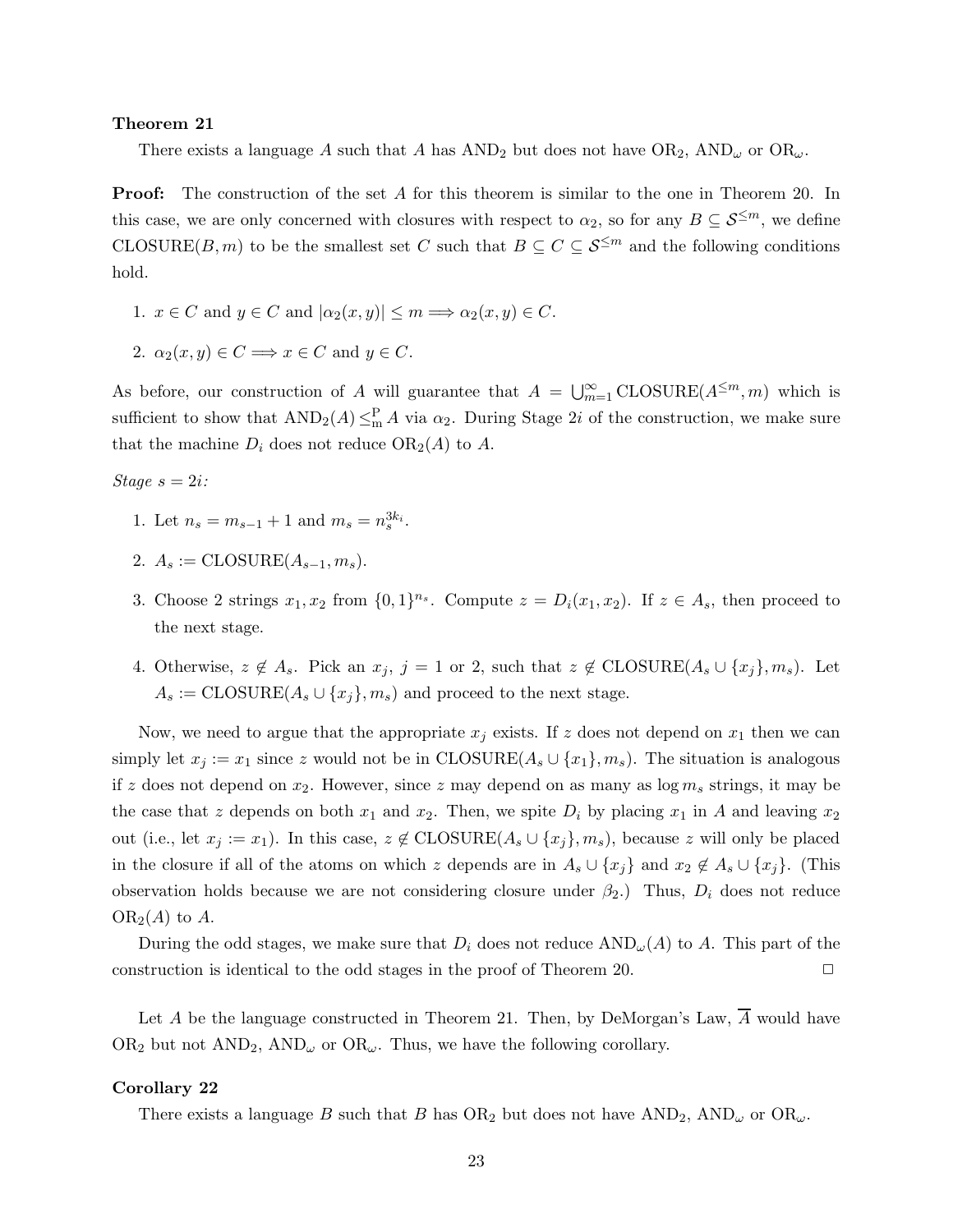#### Theorem 21

There exists a language A such that A has  $AND_2$  but does not have  $OR_2$ ,  $AND_{\omega}$  or  $OR_{\omega}$ .

**Proof:** The construction of the set A for this theorem is similar to the one in Theorem 20. In this case, we are only concerned with closures with respect to  $\alpha_2$ , so for any  $B \subseteq \mathcal{S}^{\leq m}$ , we define CLOSURE(B, m) to be the smallest set C such that  $B \subseteq C \subseteq \mathcal{S}^{\leq m}$  and the following conditions hold.

- 1.  $x \in C$  and  $y \in C$  and  $|\alpha_2(x, y)| \le m \Longrightarrow \alpha_2(x, y) \in C$ .
- 2.  $\alpha_2(x, y) \in C \Longrightarrow x \in C$  and  $y \in C$ .

As before, our construction of A will guarantee that  $A = \bigcup_{m=1}^{\infty} \text{CLOSURE}(A^{\leq m}, m)$  which is sufficient to show that  $AND_2(A) \leq^P_{m} A$  via  $\alpha_2$ . During Stage 2*i* of the construction, we make sure that the machine  $D_i$  does not reduce  $OR_2(A)$  to A.

Stage  $s = 2i$ :

- 1. Let  $n_s = m_{s-1} + 1$  and  $m_s = n_s^{3k_i}$ .
- 2.  $A_s := \text{CLOSURE}(A_{s-1}, m_s)$ .
- 3. Choose 2 strings  $x_1, x_2$  from  $\{0, 1\}^{n_s}$ . Compute  $z = D_i(x_1, x_2)$ . If  $z \in A_s$ , then proceed to the next stage.
- 4. Otherwise,  $z \notin A_s$ . Pick an  $x_j$ ,  $j = 1$  or 2, such that  $z \notin \text{CLOSURE}(A_s \cup \{x_j\}, m_s)$ . Let  $A_s := \text{CLOSURE}(A_s \cup \{x_i\}, m_s)$  and proceed to the next stage.

Now, we need to argue that the appropriate  $x_j$  exists. If z does not depend on  $x_1$  then we can simply let  $x_j := x_1$  since z would not be in CLOSURE( $A_s \cup \{x_1\}$ ,  $m_s$ ). The situation is analogous if z does not depend on  $x_2$ . However, since z may depend on as many as  $\log m_s$  strings, it may be the case that z depends on both  $x_1$  and  $x_2$ . Then, we spite  $D_i$  by placing  $x_1$  in A and leaving  $x_2$ out (i.e., let  $x_i := x_1$ ). In this case,  $z \notin \text{CLOSURE}(A_s \cup \{x_i\}, m_s)$ , because z will only be placed in the closure if all of the atoms on which z depends are in  $A_s \cup \{x_i\}$  and  $x_2 \notin A_s \cup \{x_i\}$ . (This observation holds because we are not considering closure under  $\beta_2$ .) Thus,  $D_i$  does not reduce  $OR<sub>2</sub>(A)$  to A.

During the odd stages, we make sure that  $D_i$  does not reduce  $AND_{\omega}(A)$  to A. This part of the construction is identical to the odd stages in the proof of Theorem 20.  $\Box$ 

Let A be the language constructed in Theorem 21. Then, by DeMorgan's Law,  $\overline{A}$  would have OR<sub>2</sub> but not  $AND_2$ ,  $AND_\omega$  or  $OR_\omega$ . Thus, we have the following corollary.

#### Corollary 22

There exists a language B such that B has  $OR_2$  but does not have  $AND_2$ ,  $AND_\omega$  or  $OR_\omega$ .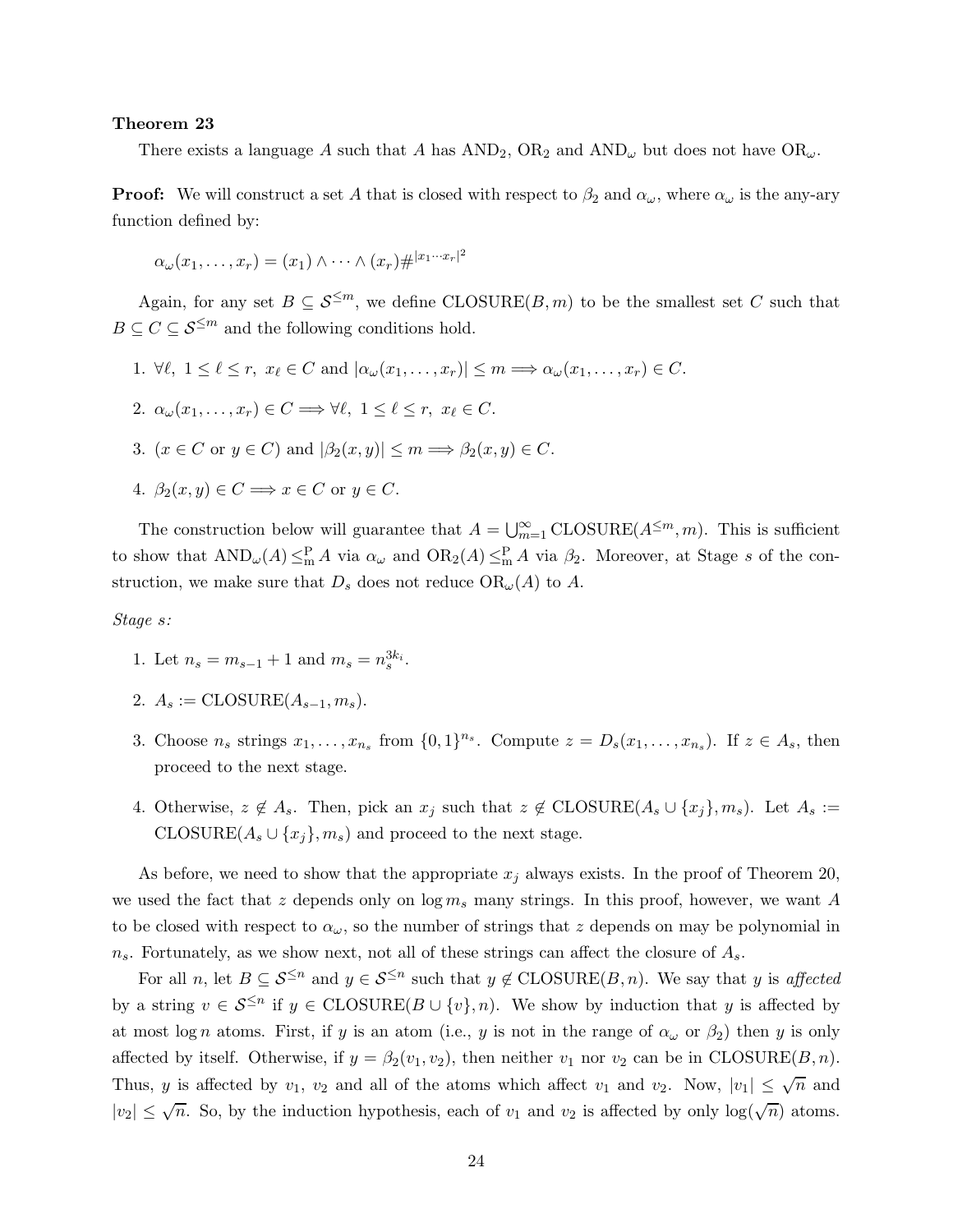#### Theorem 23

There exists a language A such that A has  $AND_2$ ,  $OR_2$  and  $AND_\omega$  but does not have  $OR_\omega$ .

**Proof:** We will construct a set A that is closed with respect to  $\beta_2$  and  $\alpha_\omega$ , where  $\alpha_\omega$  is the any-ary function defined by:

$$
\alpha_{\omega}(x_1,\ldots,x_r)=(x_1)\wedge\cdots\wedge(x_r)\#|x_1\cdots x_r|^2
$$

Again, for any set  $B \subseteq \mathcal{S}^{\leq m}$ , we define CLOSURE(B, m) to be the smallest set C such that  $B \subseteq C \subseteq \mathcal{S}^{\leq m}$  and the following conditions hold.

- 1.  $\forall \ell, 1 \leq \ell \leq r, x_{\ell} \in C$  and  $|\alpha_{\omega}(x_1, \ldots, x_r)| \leq m \Longrightarrow \alpha_{\omega}(x_1, \ldots, x_r) \in C$ .
- 2.  $\alpha_{\omega}(x_1,\ldots,x_r) \in C \Longrightarrow \forall \ell, 1 \leq \ell \leq r, x_{\ell} \in C.$
- 3.  $(x \in C \text{ or } y \in C)$  and  $|\beta_2(x, y)| \leq m \Longrightarrow \beta_2(x, y) \in C$ .
- 4.  $\beta_2(x, y) \in C \Longrightarrow x \in C$  or  $y \in C$ .

The construction below will guarantee that  $A = \bigcup_{m=1}^{\infty} \text{CLOSURE}(A^{\leq m}, m)$ . This is sufficient to show that  $AND_{\omega}(A) \leq^P_{m} A$  via  $\alpha_{\omega}$  and  $OR_2(A) \leq^P_{m} A$  via  $\beta_2$ . Moreover, at Stage s of the construction, we make sure that  $D_s$  does not reduce  $OR_{\omega}(A)$  to A.

Stage s:

- 1. Let  $n_s = m_{s-1} + 1$  and  $m_s = n_s^{3k_i}$ .
- 2.  $A_s := \text{CLOSURE}(A_{s-1}, m_s)$ .
- 3. Choose  $n_s$  strings  $x_1, \ldots, x_{n_s}$  from  $\{0,1\}^{n_s}$ . Compute  $z = D_s(x_1, \ldots, x_{n_s})$ . If  $z \in A_s$ , then proceed to the next stage.
- 4. Otherwise,  $z \notin A_s$ . Then, pick an  $x_j$  such that  $z \notin \text{CLOSURE}(A_s \cup \{x_j\}, m_s)$ . Let  $A_s :=$  $\text{CLOSURE}(A_s \cup \{x_i\}, m_s)$  and proceed to the next stage.

As before, we need to show that the appropriate  $x_i$  always exists. In the proof of Theorem 20, we used the fact that z depends only on  $\log m_s$  many strings. In this proof, however, we want A to be closed with respect to  $\alpha_{\omega}$ , so the number of strings that z depends on may be polynomial in  $n_s$ . Fortunately, as we show next, not all of these strings can affect the closure of  $A_s$ .

For all n, let  $B \subseteq \mathcal{S}^{\leq n}$  and  $y \in \mathcal{S}^{\leq n}$  such that  $y \notin \text{CLOSURE}(B,n)$ . We say that y is affected by a string  $v \in \mathcal{S}^{\leq n}$  if  $y \in \text{CLOSURE}(B \cup \{v\}, n)$ . We show by induction that y is affected by at most log n atoms. First, if y is an atom (i.e., y is not in the range of  $\alpha_{\omega}$  or  $\beta_2$ ) then y is only affected by itself. Otherwise, if  $y = \beta_2(v_1, v_2)$ , then neither  $v_1$  nor  $v_2$  can be in CLOSURE(B, n). Thus, y is affected by  $v_1$ ,  $v_2$  and all of the atoms which affect  $v_1$  and  $v_2$ . Now,  $|v_1| \leq \sqrt{n}$  and  $|v_2| \leq \sqrt{n}$ . So, by the induction hypothesis, each of  $v_1$  and  $v_2$  is affected by only  $\log(\sqrt{n})$  atoms.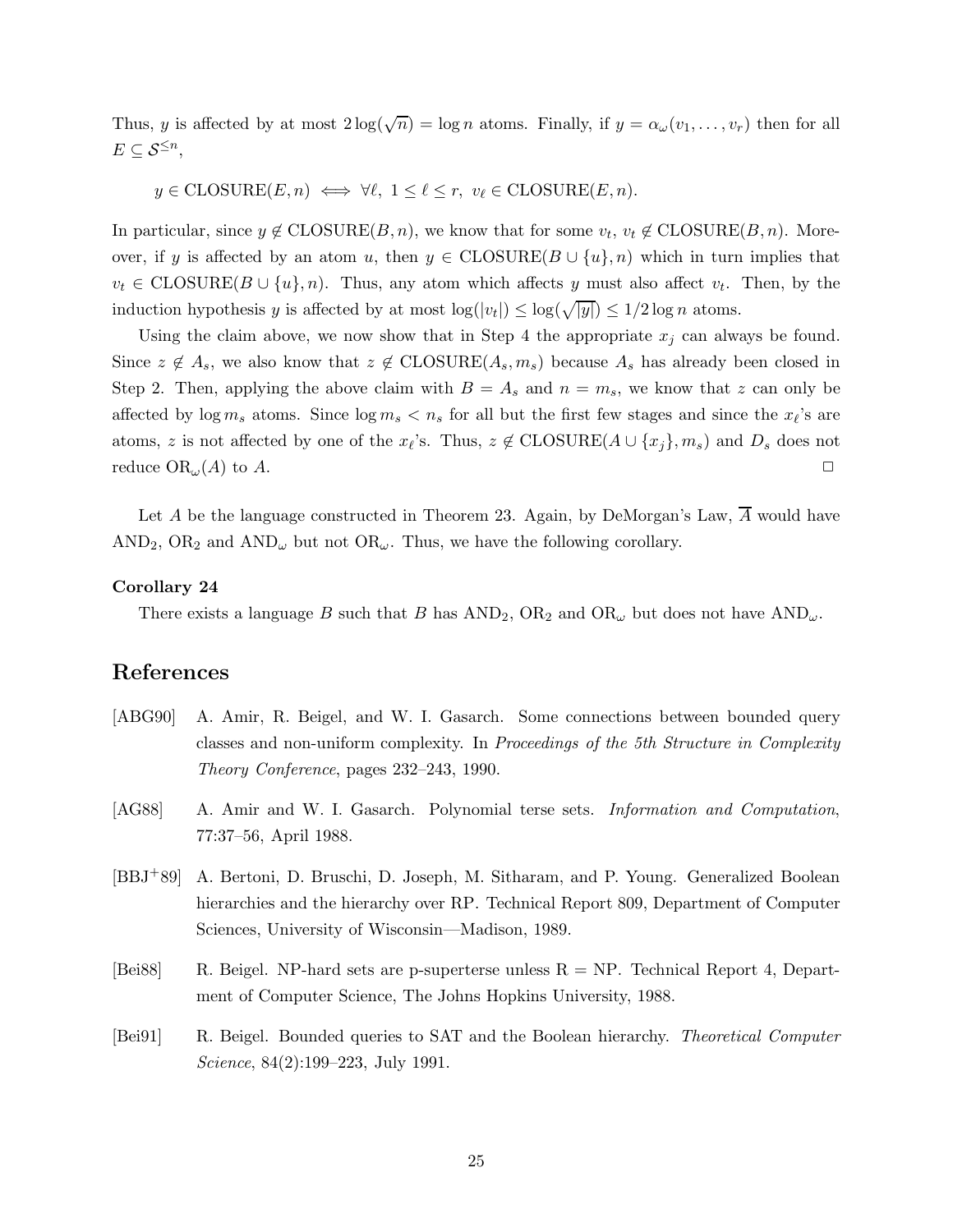Thus, y is affected by at most  $2\log(\sqrt{n}) = \log n$  atoms. Finally, if  $y = \alpha_\omega(v_1, \ldots, v_r)$  then for all  $E \subseteq \mathcal{S}^{\leq n}$ ,

 $y \in \text{CLOSURE}(E, n) \iff \forall \ell, 1 \leq \ell \leq r, v_{\ell} \in \text{CLOSURE}(E, n).$ 

In particular, since  $y \notin \text{CLOSURE}(B, n)$ , we know that for some  $v_t, v_t \notin \text{CLOSURE}(B, n)$ . Moreover, if y is affected by an atom u, then  $y \in {\rm CLOSURE}(B \cup \{u\}, n)$  which in turn implies that  $v_t \in \text{CLOSURE}(B \cup \{u\}, n)$ . Thus, any atom which affects y must also affect  $v_t$ . Then, by the induction hypothesis y is affected by at most  $\log(|v_t|) \leq \log(\sqrt{|y|}) \leq 1/2 \log n$  atoms.

Using the claim above, we now show that in Step 4 the appropriate  $x_j$  can always be found. Since  $z \notin A_s$ , we also know that  $z \notin \text{CLOSURE}(A_s, m_s)$  because  $A_s$  has already been closed in Step 2. Then, applying the above claim with  $B = A_s$  and  $n = m_s$ , we know that z can only be affected by  $\log m_s$  atoms. Since  $\log m_s < n_s$  for all but the first few stages and since the  $x_{\ell}$ 's are atoms, z is not affected by one of the  $x_{\ell}$ 's. Thus,  $z \notin \text{CLOSURE}(A \cup \{x_j\}, m_s)$  and  $D_s$  does not reduce  $\text{OR}_{\omega}(A)$  to A.

Let A be the language constructed in Theorem 23. Again, by DeMorgan's Law,  $\overline{A}$  would have AND<sub>2</sub>, OR<sub>2</sub> and AND<sub> $\omega$ </sub> but not OR $_{\omega}$ . Thus, we have the following corollary.

#### Corollary 24

There exists a language B such that B has  $AND_2$ ,  $OR_2$  and  $OR_\omega$  but does not have  $AND_\omega$ .

# References

- [ABG90] A. Amir, R. Beigel, and W. I. Gasarch. Some connections between bounded query classes and non-uniform complexity. In Proceedings of the 5th Structure in Complexity Theory Conference, pages 232–243, 1990.
- [AG88] A. Amir and W. I. Gasarch. Polynomial terse sets. *Information and Computation*, 77:37–56, April 1988.
- [BBJ+89] A. Bertoni, D. Bruschi, D. Joseph, M. Sitharam, and P. Young. Generalized Boolean hierarchies and the hierarchy over RP. Technical Report 809, Department of Computer Sciences, University of Wisconsin—Madison, 1989.
- [Bei88] R. Beigel. NP-hard sets are p-superterse unless  $R = NP$ . Technical Report 4, Department of Computer Science, The Johns Hopkins University, 1988.
- [Bei91] R. Beigel. Bounded queries to SAT and the Boolean hierarchy. Theoretical Computer Science, 84(2):199–223, July 1991.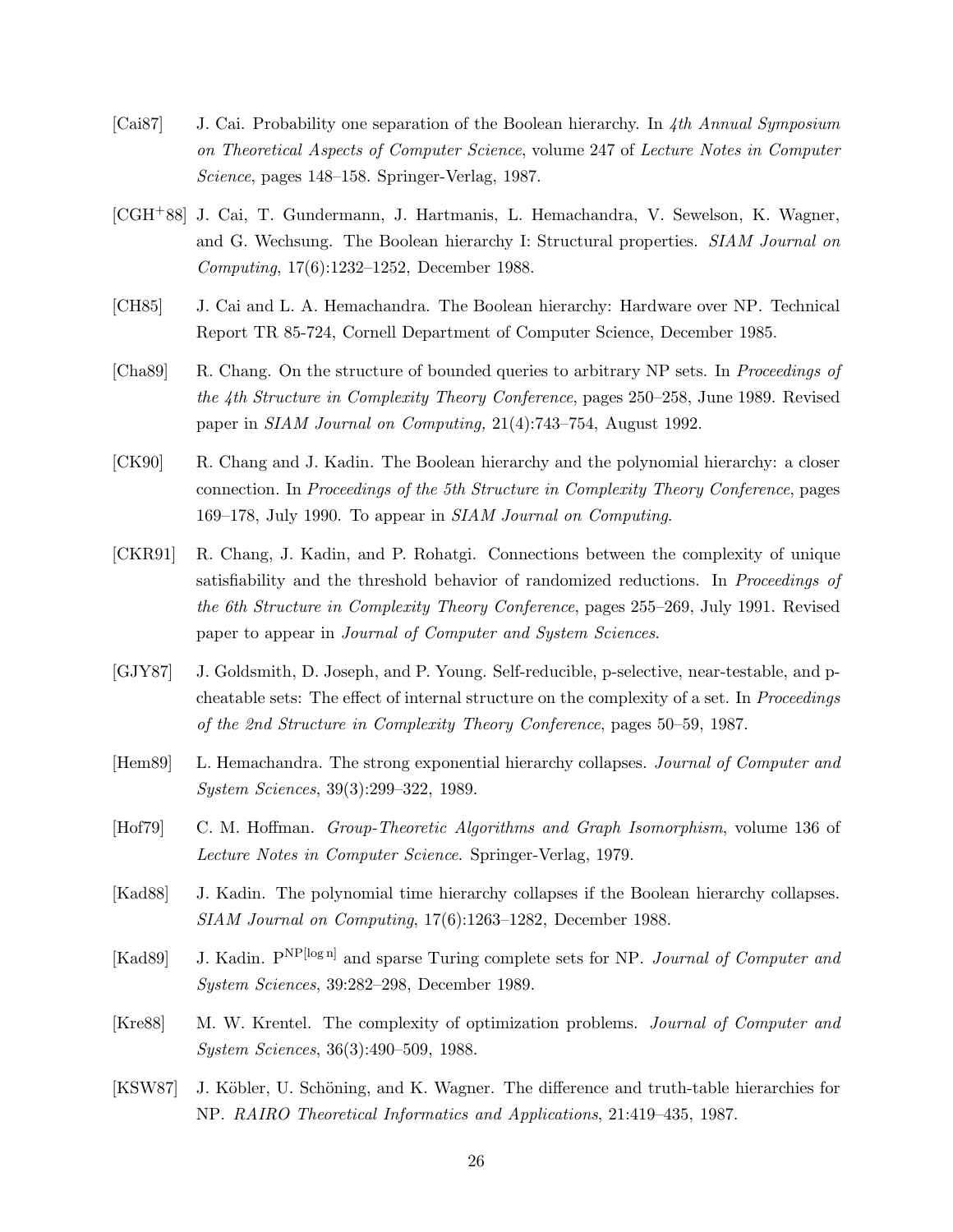- [Cai87] J. Cai. Probability one separation of the Boolean hierarchy. In 4th Annual Symposium on Theoretical Aspects of Computer Science, volume 247 of Lecture Notes in Computer Science, pages 148–158. Springer-Verlag, 1987.
- [CGH+88] J. Cai, T. Gundermann, J. Hartmanis, L. Hemachandra, V. Sewelson, K. Wagner, and G. Wechsung. The Boolean hierarchy I: Structural properties. SIAM Journal on Computing, 17(6):1232–1252, December 1988.
- [CH85] J. Cai and L. A. Hemachandra. The Boolean hierarchy: Hardware over NP. Technical Report TR 85-724, Cornell Department of Computer Science, December 1985.
- [Cha89] R. Chang. On the structure of bounded queries to arbitrary NP sets. In Proceedings of the 4th Structure in Complexity Theory Conference, pages 250–258, June 1989. Revised paper in SIAM Journal on Computing, 21(4):743–754, August 1992.
- [CK90] R. Chang and J. Kadin. The Boolean hierarchy and the polynomial hierarchy: a closer connection. In Proceedings of the 5th Structure in Complexity Theory Conference, pages 169–178, July 1990. To appear in SIAM Journal on Computing.
- [CKR91] R. Chang, J. Kadin, and P. Rohatgi. Connections between the complexity of unique satisfiability and the threshold behavior of randomized reductions. In *Proceedings of* the 6th Structure in Complexity Theory Conference, pages 255–269, July 1991. Revised paper to appear in Journal of Computer and System Sciences.
- [GJY87] J. Goldsmith, D. Joseph, and P. Young. Self-reducible, p-selective, near-testable, and pcheatable sets: The effect of internal structure on the complexity of a set. In Proceedings of the 2nd Structure in Complexity Theory Conference, pages 50–59, 1987.
- [Hem89] L. Hemachandra. The strong exponential hierarchy collapses. Journal of Computer and System Sciences, 39(3):299–322, 1989.
- [Hof79] C. M. Hoffman. Group-Theoretic Algorithms and Graph Isomorphism, volume 136 of Lecture Notes in Computer Science. Springer-Verlag, 1979.
- [Kad88] J. Kadin. The polynomial time hierarchy collapses if the Boolean hierarchy collapses. SIAM Journal on Computing, 17(6):1263–1282, December 1988.
- [Kad89] J. Kadin. P<sup>NP[log n]</sup> and sparse Turing complete sets for NP. Journal of Computer and System Sciences, 39:282–298, December 1989.
- [Kre88] M. W. Krentel. The complexity of optimization problems. Journal of Computer and System Sciences, 36(3):490–509, 1988.
- [KSW87] J. Köbler, U. Schöning, and K. Wagner. The difference and truth-table hierarchies for NP. RAIRO Theoretical Informatics and Applications, 21:419–435, 1987.